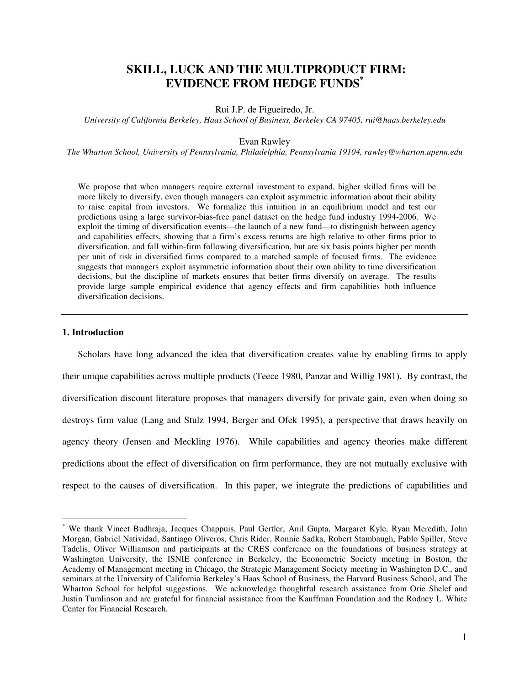# **SKILL, LUCK AND THE MULTIPRODUCT FIRM: EVIDENCE FROM HEDGE FUNDS\***

Rui J.P. de Figueiredo, Jr.

*University of California Berkeley, Haas School of Business, Berkeley CA 97405, rui@haas.berkeley.edu* 

## Evan Rawley

*The Wharton School, University of Pennsylvania, Philadelphia, Pennsylvania 19104, rawley@wharton.upenn.edu* 

We propose that when managers require external investment to expand, higher skilled firms will be more likely to diversify, even though managers can exploit asymmetric information about their ability to raise capital from investors. We formalize this intuition in an equilibrium model and test our predictions using a large survivor-bias-free panel dataset on the hedge fund industry 1994-2006. We exploit the timing of diversification events—the launch of a new fund—to distinguish between agency and capabilities effects, showing that a firm's excess returns are high relative to other firms prior to diversification, and fall within-firm following diversification, but are six basis points higher per month per unit of risk in diversified firms compared to a matched sample of focused firms. The evidence suggests that managers exploit asymmetric information about their own ability to time diversification decisions, but the discipline of markets ensures that better firms diversify on average. The results provide large sample empirical evidence that agency effects and firm capabilities both influence diversification decisions.

## **1. Introduction**

 $\overline{a}$ 

Scholars have long advanced the idea that diversification creates value by enabling firms to apply their unique capabilities across multiple products (Teece 1980, Panzar and Willig 1981). By contrast, the diversification discount literature proposes that managers diversify for private gain, even when doing so destroys firm value (Lang and Stulz 1994, Berger and Ofek 1995), a perspective that draws heavily on agency theory (Jensen and Meckling 1976). While capabilities and agency theories make different predictions about the effect of diversification on firm performance, they are not mutually exclusive with respect to the causes of diversification. In this paper, we integrate the predictions of capabilities and

<sup>\*</sup> We thank Vineet Budhraja, Jacques Chappuis, Paul Gertler, Anil Gupta, Margaret Kyle, Ryan Meredith, John Morgan, Gabriel Natividad, Santiago Oliveros, Chris Rider, Ronnie Sadka, Robert Stambaugh, Pablo Spiller, Steve Tadelis, Oliver Williamson and participants at the CRES conference on the foundations of business strategy at Washington University, the ISNIE conference in Berkeley, the Econometric Society meeting in Boston, the Academy of Management meeting in Chicago, the Strategic Management Society meeting in Washington D.C., and seminars at the University of California Berkeley's Haas School of Business, the Harvard Business School, and The Wharton School for helpful suggestions. We acknowledge thoughtful research assistance from Orie Shelef and Justin Tumlinson and are grateful for financial assistance from the Kauffman Foundation and the Rodney L. White Center for Financial Research.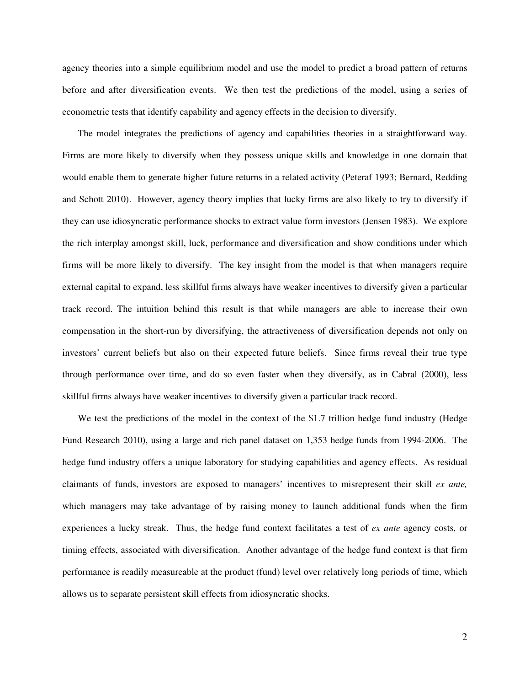agency theories into a simple equilibrium model and use the model to predict a broad pattern of returns before and after diversification events. We then test the predictions of the model, using a series of econometric tests that identify capability and agency effects in the decision to diversify.

The model integrates the predictions of agency and capabilities theories in a straightforward way. Firms are more likely to diversify when they possess unique skills and knowledge in one domain that would enable them to generate higher future returns in a related activity (Peteraf 1993; Bernard, Redding and Schott 2010). However, agency theory implies that lucky firms are also likely to try to diversify if they can use idiosyncratic performance shocks to extract value form investors (Jensen 1983). We explore the rich interplay amongst skill, luck, performance and diversification and show conditions under which firms will be more likely to diversify. The key insight from the model is that when managers require external capital to expand, less skillful firms always have weaker incentives to diversify given a particular track record. The intuition behind this result is that while managers are able to increase their own compensation in the short-run by diversifying, the attractiveness of diversification depends not only on investors' current beliefs but also on their expected future beliefs. Since firms reveal their true type through performance over time, and do so even faster when they diversify, as in Cabral (2000), less skillful firms always have weaker incentives to diversify given a particular track record.

We test the predictions of the model in the context of the \$1.7 trillion hedge fund industry (Hedge Fund Research 2010), using a large and rich panel dataset on 1,353 hedge funds from 1994-2006. The hedge fund industry offers a unique laboratory for studying capabilities and agency effects. As residual claimants of funds, investors are exposed to managers' incentives to misrepresent their skill *ex ante,* which managers may take advantage of by raising money to launch additional funds when the firm experiences a lucky streak. Thus, the hedge fund context facilitates a test of *ex ante* agency costs, or timing effects, associated with diversification. Another advantage of the hedge fund context is that firm performance is readily measureable at the product (fund) level over relatively long periods of time, which allows us to separate persistent skill effects from idiosyncratic shocks.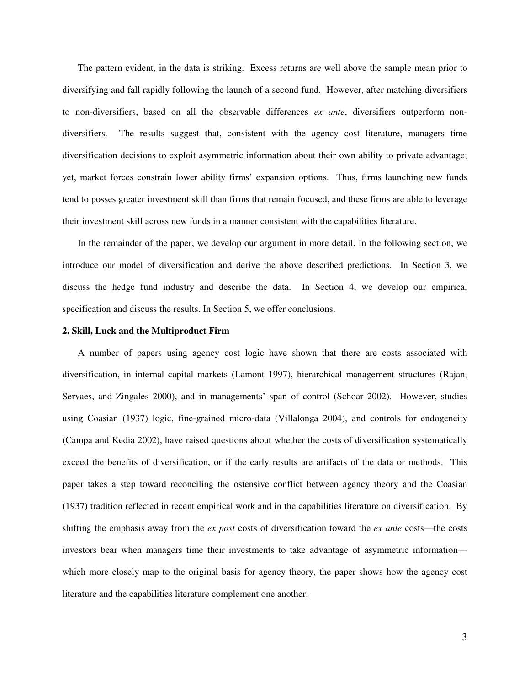The pattern evident, in the data is striking. Excess returns are well above the sample mean prior to diversifying and fall rapidly following the launch of a second fund. However, after matching diversifiers to non-diversifiers, based on all the observable differences *ex ante*, diversifiers outperform nondiversifiers. The results suggest that, consistent with the agency cost literature, managers time diversification decisions to exploit asymmetric information about their own ability to private advantage; yet, market forces constrain lower ability firms' expansion options. Thus, firms launching new funds tend to posses greater investment skill than firms that remain focused, and these firms are able to leverage their investment skill across new funds in a manner consistent with the capabilities literature.

In the remainder of the paper, we develop our argument in more detail. In the following section, we introduce our model of diversification and derive the above described predictions. In Section 3, we discuss the hedge fund industry and describe the data. In Section 4, we develop our empirical specification and discuss the results. In Section 5, we offer conclusions.

## **2. Skill, Luck and the Multiproduct Firm**

A number of papers using agency cost logic have shown that there are costs associated with diversification, in internal capital markets (Lamont 1997), hierarchical management structures (Rajan, Servaes, and Zingales 2000), and in managements' span of control (Schoar 2002). However, studies using Coasian (1937) logic, fine-grained micro-data (Villalonga 2004), and controls for endogeneity (Campa and Kedia 2002), have raised questions about whether the costs of diversification systematically exceed the benefits of diversification, or if the early results are artifacts of the data or methods. This paper takes a step toward reconciling the ostensive conflict between agency theory and the Coasian (1937) tradition reflected in recent empirical work and in the capabilities literature on diversification. By shifting the emphasis away from the *ex post* costs of diversification toward the *ex ante* costs—the costs investors bear when managers time their investments to take advantage of asymmetric information which more closely map to the original basis for agency theory, the paper shows how the agency cost literature and the capabilities literature complement one another.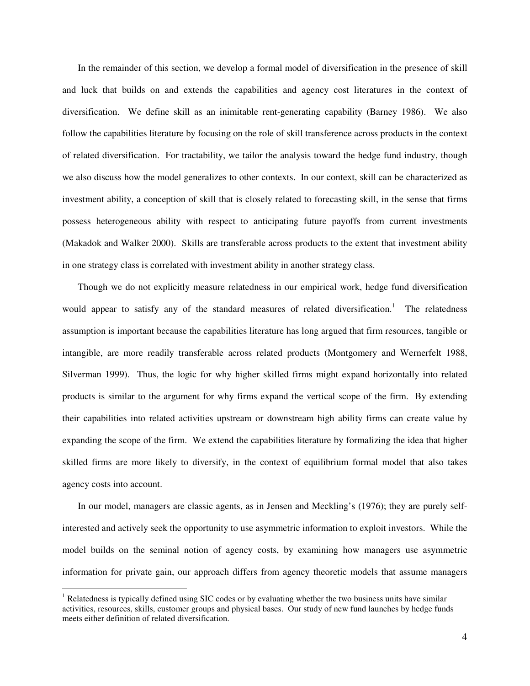In the remainder of this section, we develop a formal model of diversification in the presence of skill and luck that builds on and extends the capabilities and agency cost literatures in the context of diversification. We define skill as an inimitable rent-generating capability (Barney 1986). We also follow the capabilities literature by focusing on the role of skill transference across products in the context of related diversification. For tractability, we tailor the analysis toward the hedge fund industry, though we also discuss how the model generalizes to other contexts. In our context, skill can be characterized as investment ability, a conception of skill that is closely related to forecasting skill, in the sense that firms possess heterogeneous ability with respect to anticipating future payoffs from current investments (Makadok and Walker 2000). Skills are transferable across products to the extent that investment ability in one strategy class is correlated with investment ability in another strategy class.

Though we do not explicitly measure relatedness in our empirical work, hedge fund diversification would appear to satisfy any of the standard measures of related diversification.<sup>1</sup> The relatedness assumption is important because the capabilities literature has long argued that firm resources, tangible or intangible, are more readily transferable across related products (Montgomery and Wernerfelt 1988, Silverman 1999). Thus, the logic for why higher skilled firms might expand horizontally into related products is similar to the argument for why firms expand the vertical scope of the firm. By extending their capabilities into related activities upstream or downstream high ability firms can create value by expanding the scope of the firm. We extend the capabilities literature by formalizing the idea that higher skilled firms are more likely to diversify, in the context of equilibrium formal model that also takes agency costs into account.

In our model, managers are classic agents, as in Jensen and Meckling's (1976); they are purely selfinterested and actively seek the opportunity to use asymmetric information to exploit investors. While the model builds on the seminal notion of agency costs, by examining how managers use asymmetric information for private gain, our approach differs from agency theoretic models that assume managers

<sup>&</sup>lt;sup>1</sup> Relatedness is typically defined using SIC codes or by evaluating whether the two business units have similar activities, resources, skills, customer groups and physical bases. Our study of new fund launches by hedge funds meets either definition of related diversification.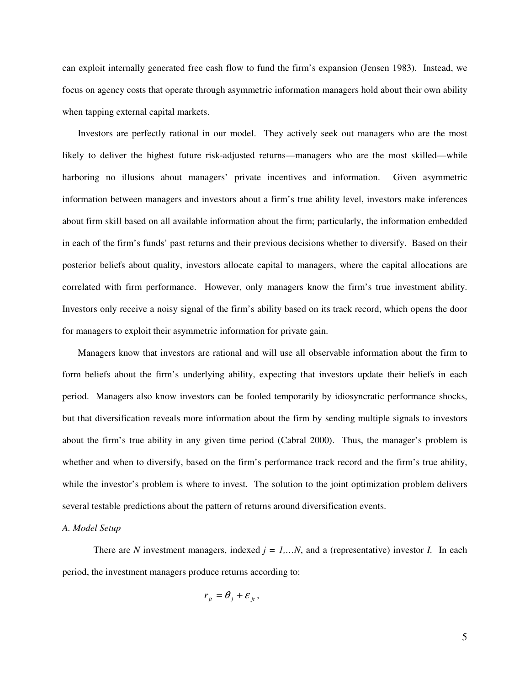can exploit internally generated free cash flow to fund the firm's expansion (Jensen 1983). Instead, we focus on agency costs that operate through asymmetric information managers hold about their own ability when tapping external capital markets.

Investors are perfectly rational in our model. They actively seek out managers who are the most likely to deliver the highest future risk-adjusted returns—managers who are the most skilled—while harboring no illusions about managers' private incentives and information. Given asymmetric information between managers and investors about a firm's true ability level, investors make inferences about firm skill based on all available information about the firm; particularly, the information embedded in each of the firm's funds' past returns and their previous decisions whether to diversify. Based on their posterior beliefs about quality, investors allocate capital to managers, where the capital allocations are correlated with firm performance. However, only managers know the firm's true investment ability. Investors only receive a noisy signal of the firm's ability based on its track record, which opens the door for managers to exploit their asymmetric information for private gain.

Managers know that investors are rational and will use all observable information about the firm to form beliefs about the firm's underlying ability, expecting that investors update their beliefs in each period. Managers also know investors can be fooled temporarily by idiosyncratic performance shocks, but that diversification reveals more information about the firm by sending multiple signals to investors about the firm's true ability in any given time period (Cabral 2000). Thus, the manager's problem is whether and when to diversify, based on the firm's performance track record and the firm's true ability, while the investor's problem is where to invest. The solution to the joint optimization problem delivers several testable predictions about the pattern of returns around diversification events.

## *A. Model Setup*

There are *N* investment managers, indexed  $j = 1,...N$ , and a (representative) investor *I*. In each period, the investment managers produce returns according to:

$$
r_{it} = \theta_i + \varepsilon_{it},
$$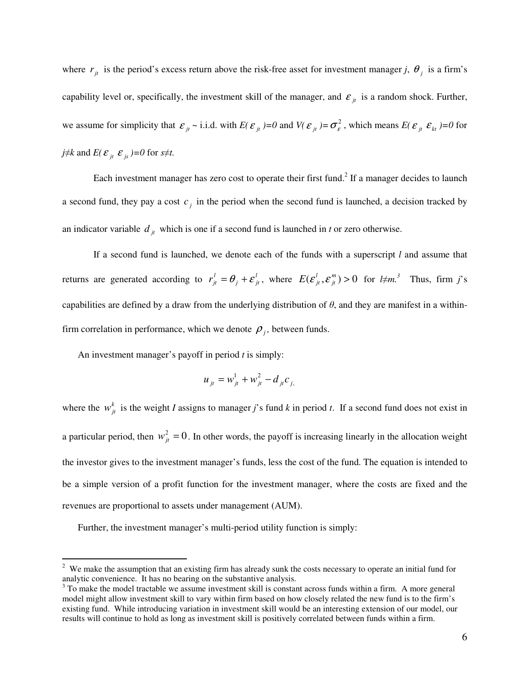where  $r_{j}$  is the period's excess return above the risk-free asset for investment manager *j*,  $\theta_{j}$  is a firm's capability level or, specifically, the investment skill of the manager, and  $\varepsilon_{it}$  is a random shock. Further, we assume for simplicity that  $\mathcal{E}_{jt} \sim$  i.i.d. with  $E(\mathcal{E}_{jt}) = 0$  and  $V(\mathcal{E}_{jt}) = \sigma_{\varepsilon}^2$ , which means  $E(\mathcal{E}_{jt} | \mathcal{E}_{kt}) = 0$  for *j*≠*k* and *E*( $\varepsilon$ <sub>*jt*</sub>  $\varepsilon$ <sub>*js*</sub> )=0 for *s*≠*t*.

Each investment manager has zero cost to operate their first fund.<sup>2</sup> If a manager decides to launch a second fund, they pay a cost  $c_j$  in the period when the second fund is launched, a decision tracked by an indicator variable  $d_{it}$  which is one if a second fund is launched in *t* or zero otherwise.

If a second fund is launched, we denote each of the funds with a superscript *l* and assume that returns are generated according to  $r_{j}^{l} = \theta_{j} + \varepsilon_{j}^{l}$  $r_{jt}^l = \theta_j + \varepsilon_{jt}^l$ , where  $E(\varepsilon_{jt}^l, \varepsilon_{jt}^m) > 0$  $E(e_{jt}^l, e_{jt}^m) > 0$  for  $l \neq m$ .<sup>3</sup> Thus, firm *j*'s capabilities are defined by a draw from the underlying distribution of  $\theta$ , and they are manifest in a withinfirm correlation in performance, which we denote  $\rho_j$ , between funds.

An investment manager's payoff in period *t* is simply:

$$
u_{jt} = w_{jt}^1 + w_{jt}^2 - d_{jt} c_{j}
$$

where the  $w_{jt}^{k}$  is the weight *I* assigns to manager *j*'s fund *k* in period *t*. If a second fund does not exist in a particular period, then  $w_{jt}^2 = 0$ . In other words, the payoff is increasing linearly in the allocation weight the investor gives to the investment manager's funds, less the cost of the fund. The equation is intended to be a simple version of a profit function for the investment manager, where the costs are fixed and the revenues are proportional to assets under management (AUM).

Further, the investment manager's multi-period utility function is simply:

<sup>&</sup>lt;sup>2</sup> We make the assumption that an existing firm has already sunk the costs necessary to operate an initial fund for analytic convenience. It has no bearing on the substantive analysis.

 $3$  To make the model tractable we assume investment skill is constant across funds within a firm. A more general model might allow investment skill to vary within firm based on how closely related the new fund is to the firm's existing fund. While introducing variation in investment skill would be an interesting extension of our model, our results will continue to hold as long as investment skill is positively correlated between funds within a firm.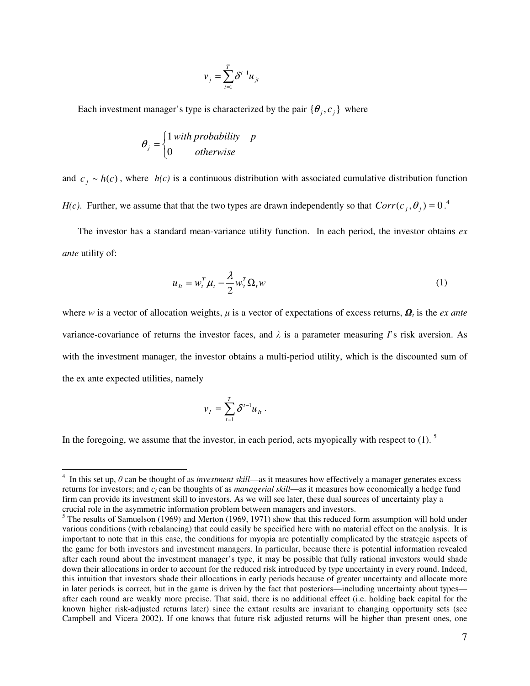$$
v_j = \sum_{t=1}^T \delta^{t-1} u_{jt}
$$

Each investment manager's type is characterized by the pair  $\{\theta_j, c_j\}$  where

$$
\theta_j = \begin{cases} 1 \text{ with probability} & p \\ 0 & \text{otherwise} \end{cases}
$$

and  $c_j \sim h(c)$ , where  $h(c)$  is a continuous distribution with associated cumulative distribution function *H(c)*. Further, we assume that that the two types are drawn independently so that  $Corr(c_j, \theta_j) = 0$ .<sup>4</sup>

The investor has a standard mean-variance utility function. In each period, the investor obtains *ex ante* utility of:

$$
u_{lt} = w_t^T \mu_t - \frac{\lambda}{2} w_t^T \Omega_t w \tag{1}
$$

where *w* is a vector of allocation weights,  $\mu$  is a vector of expectations of excess returns,  $\mathbf{Q}_t$  is the *ex ante* variance-covariance of returns the investor faces, and  $\lambda$  is a parameter measuring *I*'s risk aversion. As with the investment manager, the investor obtains a multi-period utility, which is the discounted sum of the ex ante expected utilities, namely

$$
v_I = \sum_{t=1}^T \delta^{t-1} u_{It}.
$$

In the foregoing, we assume that the investor, in each period, acts myopically with respect to  $(1)$ .

 4 In this set up, θ can be thought of as *investment skill*—as it measures how effectively a manager generates excess returns for investors; and *c<sup>j</sup>* can be thoughts of as *managerial skill*—as it measures how economically a hedge fund firm can provide its investment skill to investors. As we will see later, these dual sources of uncertainty play a crucial role in the asymmetric information problem between managers and investors. 5 The results of Samuelson (1969) and Merton (1969, 1971) show that this reduced form assumption will hold under

various conditions (with rebalancing) that could easily be specified here with no material effect on the analysis. It is important to note that in this case, the conditions for myopia are potentially complicated by the strategic aspects of the game for both investors and investment managers. In particular, because there is potential information revealed after each round about the investment manager's type, it may be possible that fully rational investors would shade down their allocations in order to account for the reduced risk introduced by type uncertainty in every round. Indeed, this intuition that investors shade their allocations in early periods because of greater uncertainty and allocate more in later periods is correct, but in the game is driven by the fact that posteriors—including uncertainty about types after each round are weakly more precise. That said, there is no additional effect (i.e. holding back capital for the known higher risk-adjusted returns later) since the extant results are invariant to changing opportunity sets (see Campbell and Vicera 2002). If one knows that future risk adjusted returns will be higher than present ones, one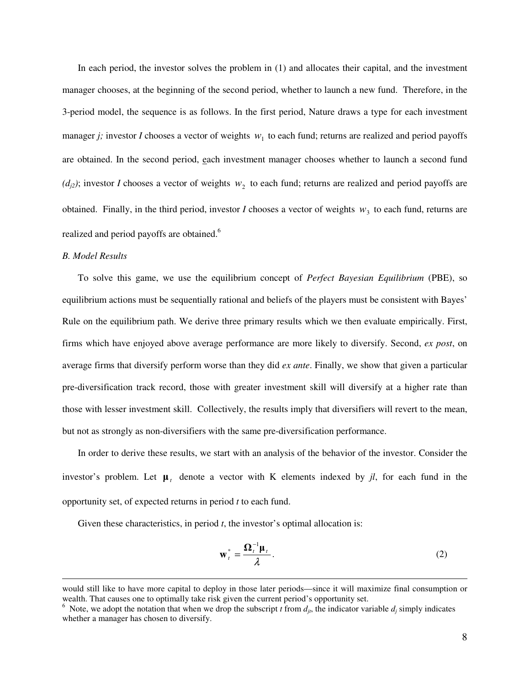In each period, the investor solves the problem in (1) and allocates their capital, and the investment manager chooses, at the beginning of the second period, whether to launch a new fund. Therefore, in the 3-period model, the sequence is as follows. In the first period, Nature draws a type for each investment manager *j*; investor *I* chooses a vector of weights  $w_1$  to each fund; returns are realized and period payoffs are obtained. In the second period, each investment manager chooses whether to launch a second fund  $(d_{j2})$ ; investor *I* chooses a vector of weights  $w_2$  to each fund; returns are realized and period payoffs are obtained. Finally, in the third period, investor *I* chooses a vector of weights  $w_3$  to each fund, returns are realized and period payoffs are obtained.<sup>6</sup>

## *B. Model Results*

 $\overline{a}$ 

To solve this game, we use the equilibrium concept of *Perfect Bayesian Equilibrium* (PBE), so equilibrium actions must be sequentially rational and beliefs of the players must be consistent with Bayes' Rule on the equilibrium path. We derive three primary results which we then evaluate empirically. First, firms which have enjoyed above average performance are more likely to diversify. Second, *ex post*, on average firms that diversify perform worse than they did *ex ante*. Finally, we show that given a particular pre-diversification track record, those with greater investment skill will diversify at a higher rate than those with lesser investment skill. Collectively, the results imply that diversifiers will revert to the mean, but not as strongly as non-diversifiers with the same pre-diversification performance.

In order to derive these results, we start with an analysis of the behavior of the investor. Consider the investor's problem. Let  $\mu$ <sub>t</sub> denote a vector with K elements indexed by *jl*, for each fund in the opportunity set, of expected returns in period *t* to each fund.

Given these characteristics, in period *t*, the investor's optimal allocation is:

$$
\mathbf{w}_t^* = \frac{\mathbf{\Omega}_t^{-1} \mathbf{\mu}_t}{\lambda}.
$$
 (2)

would still like to have more capital to deploy in those later periods—since it will maximize final consumption or wealth. That causes one to optimally take risk given the current period's opportunity set.

<sup>&</sup>lt;sup>6</sup> Note, we adopt the notation that when we drop the subscript *t* from  $d_{jt}$ , the indicator variable  $d_j$  simply indicates whether a manager has chosen to diversify.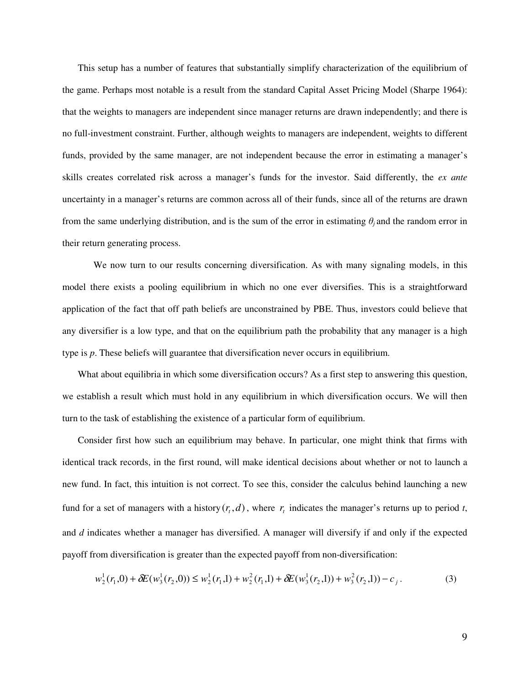This setup has a number of features that substantially simplify characterization of the equilibrium of the game. Perhaps most notable is a result from the standard Capital Asset Pricing Model (Sharpe 1964): that the weights to managers are independent since manager returns are drawn independently; and there is no full-investment constraint. Further, although weights to managers are independent, weights to different funds, provided by the same manager, are not independent because the error in estimating a manager's skills creates correlated risk across a manager's funds for the investor. Said differently, the *ex ante* uncertainty in a manager's returns are common across all of their funds, since all of the returns are drawn from the same underlying distribution, and is the sum of the error in estimating  $\theta_i$  and the random error in their return generating process.

We now turn to our results concerning diversification. As with many signaling models, in this model there exists a pooling equilibrium in which no one ever diversifies. This is a straightforward application of the fact that off path beliefs are unconstrained by PBE. Thus, investors could believe that any diversifier is a low type, and that on the equilibrium path the probability that any manager is a high type is *p*. These beliefs will guarantee that diversification never occurs in equilibrium.

What about equilibria in which some diversification occurs? As a first step to answering this question, we establish a result which must hold in any equilibrium in which diversification occurs. We will then turn to the task of establishing the existence of a particular form of equilibrium.

Consider first how such an equilibrium may behave. In particular, one might think that firms with identical track records, in the first round, will make identical decisions about whether or not to launch a new fund. In fact, this intuition is not correct. To see this, consider the calculus behind launching a new fund for a set of managers with a history  $(r_t, d)$ , where  $r_t$  indicates the manager's returns up to period *t*, and *d* indicates whether a manager has diversified. A manager will diversify if and only if the expected payoff from diversification is greater than the expected payoff from non-diversification:

$$
w_2^1(r_1,0) + \delta E(w_3^1(r_2,0)) \le w_2^1(r_1,1) + w_2^2(r_1,1) + \delta E(w_3^1(r_2,1)) + w_3^2(r_2,1)) - c_j.
$$
 (3)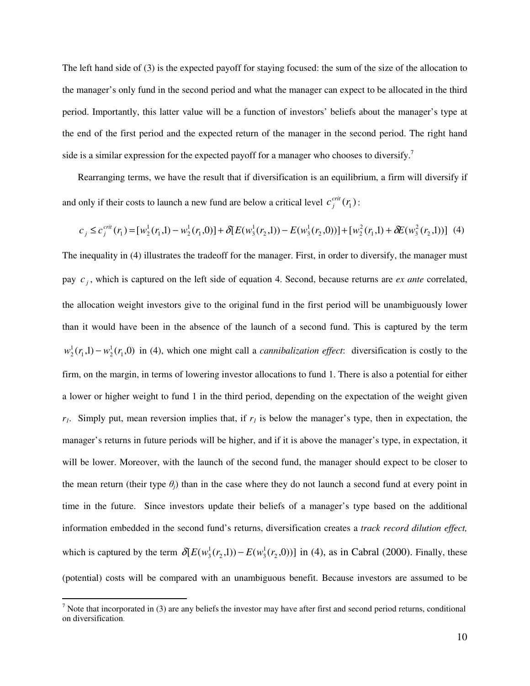The left hand side of (3) is the expected payoff for staying focused: the sum of the size of the allocation to the manager's only fund in the second period and what the manager can expect to be allocated in the third period. Importantly, this latter value will be a function of investors' beliefs about the manager's type at the end of the first period and the expected return of the manager in the second period. The right hand side is a similar expression for the expected payoff for a manager who chooses to diversify.<sup>7</sup>

Rearranging terms, we have the result that if diversification is an equilibrium, a firm will diversify if and only if their costs to launch a new fund are below a critical level  $c_j^{crit}(r_1)$  $\int_{j}^{crit}(r_{1})$ :

$$
c_j \leq c_j^{crit}(r_1) = [w_2^1(r_1,1) - w_2^1(r_1,0)] + \delta[E(w_3^1(r_2,1)) - E(w_3^1(r_2,0))] + [w_2^2(r_1,1) + \delta E(w_3^2(r_2,1))]
$$
 (4)

The inequality in (4) illustrates the tradeoff for the manager. First, in order to diversify, the manager must pay  $c_j$ , which is captured on the left side of equation 4. Second, because returns are *ex ante* correlated, the allocation weight investors give to the original fund in the first period will be unambiguously lower than it would have been in the absence of the launch of a second fund. This is captured by the term  $(r_1,1) - w_2^1(r_1,0)$ 1  $1, 1, 1$   $W_2$  $w_2^1(r_1,1) - w_2^1(r_1,0)$  in (4), which one might call a *cannibalization effect*: diversification is costly to the firm, on the margin, in terms of lowering investor allocations to fund 1. There is also a potential for either a lower or higher weight to fund 1 in the third period, depending on the expectation of the weight given *r1*. Simply put, mean reversion implies that, if *r1* is below the manager's type, then in expectation, the manager's returns in future periods will be higher, and if it is above the manager's type, in expectation, it will be lower. Moreover, with the launch of the second fund, the manager should expect to be closer to the mean return (their type  $\theta_j$ ) than in the case where they do not launch a second fund at every point in time in the future. Since investors update their beliefs of a manager's type based on the additional information embedded in the second fund's returns, diversification creates a *track record dilution effect,*  which is captured by the term  $\delta[E(w_3^1(r_2,1)) - E(w_3^1(r_2,0))]$ 2<sup>,1</sup>//  $L(w_3)$  $\delta[E(w_3^1(r_2,1)) - E(w_3^1(r_2,0))]$  in (4), as in Cabral (2000). Finally, these (potential) costs will be compared with an unambiguous benefit. Because investors are assumed to be

<sup>&</sup>lt;sup>7</sup> Note that incorporated in (3) are any beliefs the investor may have after first and second period returns, conditional <sup>7</sup> on diversification.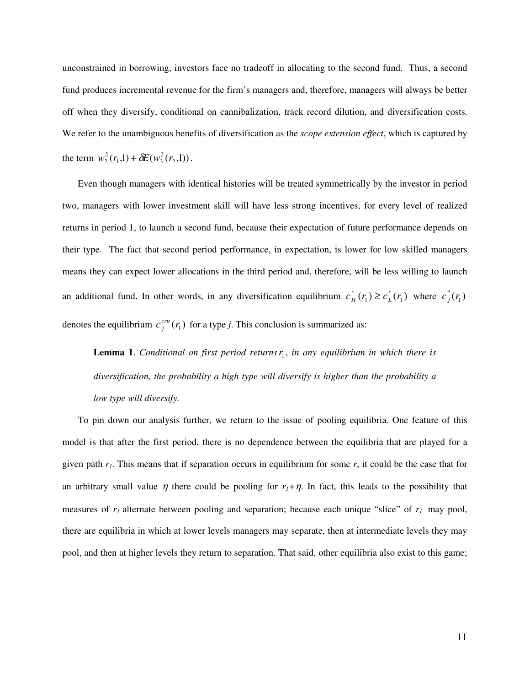unconstrained in borrowing, investors face no tradeoff in allocating to the second fund. Thus, a second fund produces incremental revenue for the firm's managers and, therefore, managers will always be better off when they diversify, conditional on cannibalization, track record dilution, and diversification costs. We refer to the unambiguous benefits of diversification as the *scope extension effect*, which is captured by the term  $w_2^2(r_1,1) + \delta E(w_3^2(r_2,1))$ 2  $1, 1)$   $U_{1}$   $W_{3}$  $w_2^2(r_1,1) + \delta E(w_3^2(r_2,1)).$ 

Even though managers with identical histories will be treated symmetrically by the investor in period two, managers with lower investment skill will have less strong incentives, for every level of realized returns in period 1, to launch a second fund, because their expectation of future performance depends on their type. The fact that second period performance, in expectation, is lower for low skilled managers means they can expect lower allocations in the third period and, therefore, will be less willing to launch an additional fund. In other words, in any diversification equilibrium  $c_H^*(r_1) \geq c_L^*(r_1)$ \* 1  $c_H^*(r_1) \ge c_L^*(r_1)$  where  $c_J^*(r_1)$ denotes the equilibrium  $c_j^{crit}(r_1)$  $f_j^{cm}(r_1)$  for a type *j*. This conclusion is summarized as:

**Lemma 1.** Conditional on first period returns  $r_1$ , in any equilibrium in which there is *diversification, the probability a high type will diversify is higher than the probability a low type will diversify.* 

To pin down our analysis further, we return to the issue of pooling equilibria. One feature of this model is that after the first period, there is no dependence between the equilibria that are played for a given path  $r_i$ . This means that if separation occurs in equilibrium for some  $r$ , it could be the case that for an arbitrary small value  $\eta$  there could be pooling for  $r_i + \eta$ . In fact, this leads to the possibility that measures of *r1* alternate between pooling and separation; because each unique "slice" of *r1* may pool, there are equilibria in which at lower levels managers may separate, then at intermediate levels they may pool, and then at higher levels they return to separation. That said, other equilibria also exist to this game;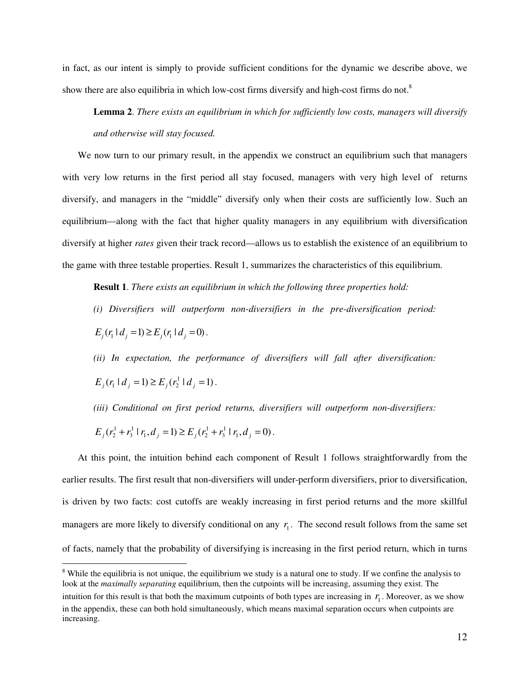in fact, as our intent is simply to provide sufficient conditions for the dynamic we describe above, we show there are also equilibria in which low-cost firms diversify and high-cost firms do not.<sup>8</sup>

**Lemma 2**. *There exists an equilibrium in which for sufficiently low costs, managers will diversify and otherwise will stay focused.* 

We now turn to our primary result, in the appendix we construct an equilibrium such that managers with very low returns in the first period all stay focused, managers with very high level of returns diversify, and managers in the "middle" diversify only when their costs are sufficiently low. Such an equilibrium—along with the fact that higher quality managers in any equilibrium with diversification diversify at higher *rates* given their track record—allows us to establish the existence of an equilibrium to the game with three testable properties. Result 1, summarizes the characteristics of this equilibrium.

**Result 1**. *There exists an equilibrium in which the following three properties hold:* 

*(i) Diversifiers will outperform non-diversifiers in the pre-diversification period:*

 $E_j(r_1 \mid d_j = 1) \ge E_j(r_1 \mid d_j = 0)$ .

*(ii) In expectation, the performance of diversifiers will fall after diversification:*

 $E_j(r_1 | d_j = 1) \ge E_j(r_2^1 | d_j = 1).$ 

 $\overline{a}$ 

*(iii) Conditional on first period returns, diversifiers will outperform non-diversifiers:*

$$
E_j(r_2^1+r_3^1 | r_1, d_j = 1) \ge E_j(r_2^1+r_3^1 | r_1, d_j = 0).
$$

At this point, the intuition behind each component of Result 1 follows straightforwardly from the earlier results. The first result that non-diversifiers will under-perform diversifiers, prior to diversification, is driven by two facts: cost cutoffs are weakly increasing in first period returns and the more skillful managers are more likely to diversify conditional on any  $r<sub>1</sub>$ . The second result follows from the same set of facts, namely that the probability of diversifying is increasing in the first period return, which in turns

<sup>&</sup>lt;sup>8</sup> While the equilibria is not unique, the equilibrium we study is a natural one to study. If we confine the analysis to look at the *maximally separating* equilibrium, then the cutpoints will be increasing, assuming they exist. The intuition for this result is that both the maximum cutpoints of both types are increasing in  $r_1$ . Moreover, as we show in the appendix, these can both hold simultaneously, which means maximal separation occurs when cutpoints are increasing.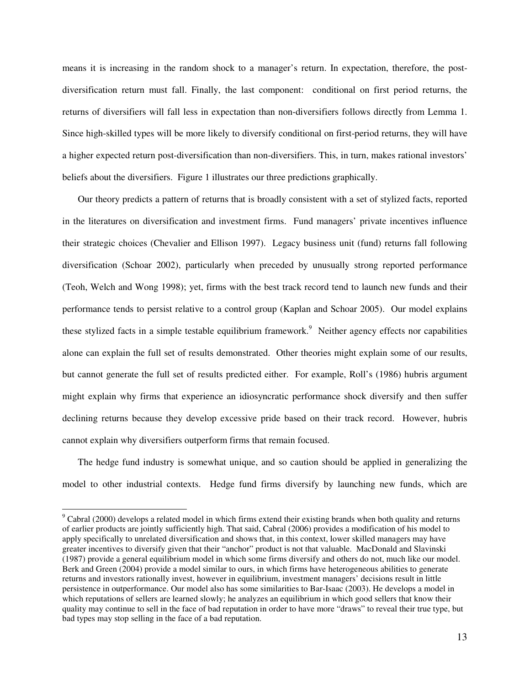means it is increasing in the random shock to a manager's return. In expectation, therefore, the postdiversification return must fall. Finally, the last component: conditional on first period returns, the returns of diversifiers will fall less in expectation than non-diversifiers follows directly from Lemma 1. Since high-skilled types will be more likely to diversify conditional on first-period returns, they will have a higher expected return post-diversification than non-diversifiers. This, in turn, makes rational investors' beliefs about the diversifiers. Figure 1 illustrates our three predictions graphically.

Our theory predicts a pattern of returns that is broadly consistent with a set of stylized facts, reported in the literatures on diversification and investment firms. Fund managers' private incentives influence their strategic choices (Chevalier and Ellison 1997). Legacy business unit (fund) returns fall following diversification (Schoar 2002), particularly when preceded by unusually strong reported performance (Teoh, Welch and Wong 1998); yet, firms with the best track record tend to launch new funds and their performance tends to persist relative to a control group (Kaplan and Schoar 2005). Our model explains these stylized facts in a simple testable equilibrium framework.<sup>9</sup> Neither agency effects nor capabilities alone can explain the full set of results demonstrated. Other theories might explain some of our results, but cannot generate the full set of results predicted either. For example, Roll's (1986) hubris argument might explain why firms that experience an idiosyncratic performance shock diversify and then suffer declining returns because they develop excessive pride based on their track record. However, hubris cannot explain why diversifiers outperform firms that remain focused.

The hedge fund industry is somewhat unique, and so caution should be applied in generalizing the model to other industrial contexts. Hedge fund firms diversify by launching new funds, which are

 $9^9$  Cabral (2000) develops a related model in which firms extend their existing brands when both quality and returns of earlier products are jointly sufficiently high. That said, Cabral (2006) provides a modification of his model to apply specifically to unrelated diversification and shows that, in this context, lower skilled managers may have greater incentives to diversify given that their "anchor" product is not that valuable. MacDonald and Slavinski (1987) provide a general equilibrium model in which some firms diversify and others do not, much like our model. Berk and Green (2004) provide a model similar to ours, in which firms have heterogeneous abilities to generate returns and investors rationally invest, however in equilibrium, investment managers' decisions result in little persistence in outperformance. Our model also has some similarities to Bar-Isaac (2003). He develops a model in which reputations of sellers are learned slowly; he analyzes an equilibrium in which good sellers that know their quality may continue to sell in the face of bad reputation in order to have more "draws" to reveal their true type, but bad types may stop selling in the face of a bad reputation.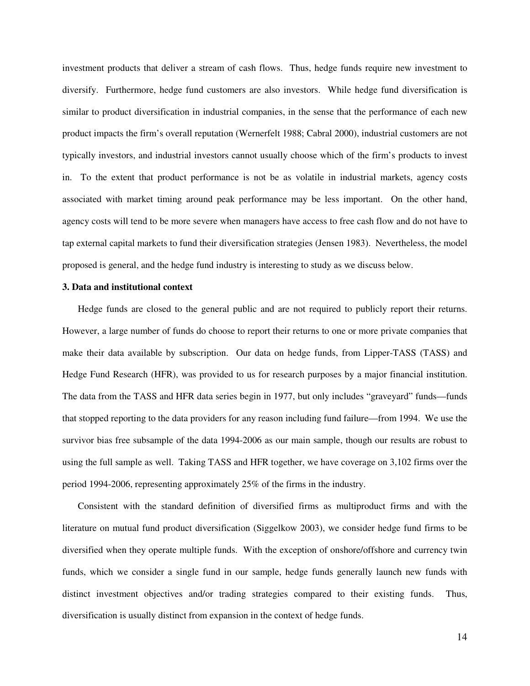investment products that deliver a stream of cash flows. Thus, hedge funds require new investment to diversify. Furthermore, hedge fund customers are also investors. While hedge fund diversification is similar to product diversification in industrial companies, in the sense that the performance of each new product impacts the firm's overall reputation (Wernerfelt 1988; Cabral 2000), industrial customers are not typically investors, and industrial investors cannot usually choose which of the firm's products to invest in. To the extent that product performance is not be as volatile in industrial markets, agency costs associated with market timing around peak performance may be less important. On the other hand, agency costs will tend to be more severe when managers have access to free cash flow and do not have to tap external capital markets to fund their diversification strategies (Jensen 1983). Nevertheless, the model proposed is general, and the hedge fund industry is interesting to study as we discuss below.

## **3. Data and institutional context**

Hedge funds are closed to the general public and are not required to publicly report their returns. However, a large number of funds do choose to report their returns to one or more private companies that make their data available by subscription. Our data on hedge funds, from Lipper-TASS (TASS) and Hedge Fund Research (HFR), was provided to us for research purposes by a major financial institution. The data from the TASS and HFR data series begin in 1977, but only includes "graveyard" funds—funds that stopped reporting to the data providers for any reason including fund failure—from 1994. We use the survivor bias free subsample of the data 1994-2006 as our main sample, though our results are robust to using the full sample as well. Taking TASS and HFR together, we have coverage on 3,102 firms over the period 1994-2006, representing approximately 25% of the firms in the industry.

Consistent with the standard definition of diversified firms as multiproduct firms and with the literature on mutual fund product diversification (Siggelkow 2003), we consider hedge fund firms to be diversified when they operate multiple funds. With the exception of onshore/offshore and currency twin funds, which we consider a single fund in our sample, hedge funds generally launch new funds with distinct investment objectives and/or trading strategies compared to their existing funds. Thus, diversification is usually distinct from expansion in the context of hedge funds.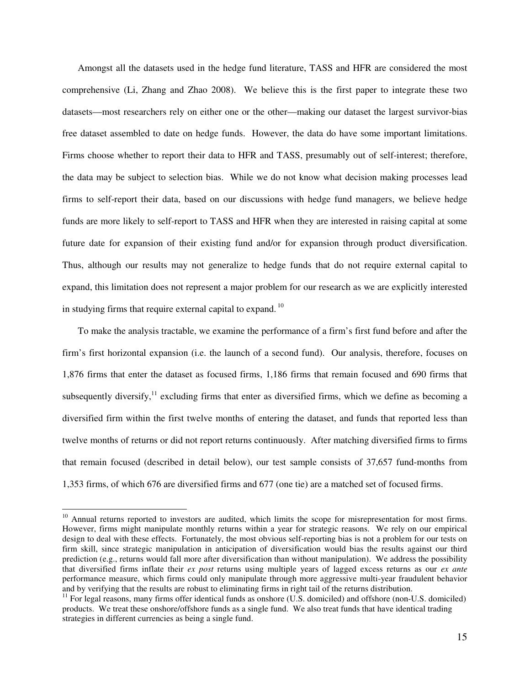Amongst all the datasets used in the hedge fund literature, TASS and HFR are considered the most comprehensive (Li, Zhang and Zhao 2008). We believe this is the first paper to integrate these two datasets—most researchers rely on either one or the other—making our dataset the largest survivor-bias free dataset assembled to date on hedge funds. However, the data do have some important limitations. Firms choose whether to report their data to HFR and TASS, presumably out of self-interest; therefore, the data may be subject to selection bias. While we do not know what decision making processes lead firms to self-report their data, based on our discussions with hedge fund managers, we believe hedge funds are more likely to self-report to TASS and HFR when they are interested in raising capital at some future date for expansion of their existing fund and/or for expansion through product diversification. Thus, although our results may not generalize to hedge funds that do not require external capital to expand, this limitation does not represent a major problem for our research as we are explicitly interested in studying firms that require external capital to expand.<sup>10</sup>

To make the analysis tractable, we examine the performance of a firm's first fund before and after the firm's first horizontal expansion (i.e. the launch of a second fund). Our analysis, therefore, focuses on 1,876 firms that enter the dataset as focused firms, 1,186 firms that remain focused and 690 firms that subsequently diversify, $^{11}$  excluding firms that enter as diversified firms, which we define as becoming a diversified firm within the first twelve months of entering the dataset, and funds that reported less than twelve months of returns or did not report returns continuously. After matching diversified firms to firms that remain focused (described in detail below), our test sample consists of 37,657 fund-months from 1,353 firms, of which 676 are diversified firms and 677 (one tie) are a matched set of focused firms.

<sup>&</sup>lt;sup>10</sup> Annual returns reported to investors are audited, which limits the scope for misrepresentation for most firms. However, firms might manipulate monthly returns within a year for strategic reasons. We rely on our empirical design to deal with these effects. Fortunately, the most obvious self-reporting bias is not a problem for our tests on firm skill, since strategic manipulation in anticipation of diversification would bias the results against our third prediction (e.g., returns would fall more after diversification than without manipulation). We address the possibility that diversified firms inflate their *ex post* returns using multiple years of lagged excess returns as our *ex ante* performance measure, which firms could only manipulate through more aggressive multi-year fraudulent behavior and by verifying that the results are robust to eliminating firms in right tail of the returns distribution.

 $11$  For legal reasons, many firms offer identical funds as onshore (U.S. domiciled) and offshore (non-U.S. domiciled) products. We treat these onshore/offshore funds as a single fund. We also treat funds that have identical trading strategies in different currencies as being a single fund.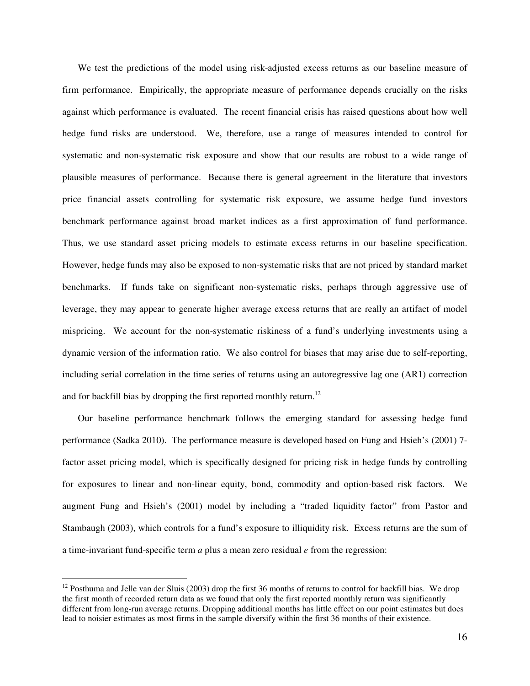We test the predictions of the model using risk-adjusted excess returns as our baseline measure of firm performance. Empirically, the appropriate measure of performance depends crucially on the risks against which performance is evaluated. The recent financial crisis has raised questions about how well hedge fund risks are understood. We, therefore, use a range of measures intended to control for systematic and non-systematic risk exposure and show that our results are robust to a wide range of plausible measures of performance. Because there is general agreement in the literature that investors price financial assets controlling for systematic risk exposure, we assume hedge fund investors benchmark performance against broad market indices as a first approximation of fund performance. Thus, we use standard asset pricing models to estimate excess returns in our baseline specification. However, hedge funds may also be exposed to non-systematic risks that are not priced by standard market benchmarks. If funds take on significant non-systematic risks, perhaps through aggressive use of leverage, they may appear to generate higher average excess returns that are really an artifact of model mispricing. We account for the non-systematic riskiness of a fund's underlying investments using a dynamic version of the information ratio. We also control for biases that may arise due to self-reporting, including serial correlation in the time series of returns using an autoregressive lag one (AR1) correction and for backfill bias by dropping the first reported monthly return.<sup>12</sup>

Our baseline performance benchmark follows the emerging standard for assessing hedge fund performance (Sadka 2010). The performance measure is developed based on Fung and Hsieh's (2001) 7 factor asset pricing model, which is specifically designed for pricing risk in hedge funds by controlling for exposures to linear and non-linear equity, bond, commodity and option-based risk factors. We augment Fung and Hsieh's (2001) model by including a "traded liquidity factor" from Pastor and Stambaugh (2003), which controls for a fund's exposure to illiquidity risk. Excess returns are the sum of a time-invariant fund-specific term *a* plus a mean zero residual *e* from the regression:

 $12$  Posthuma and Jelle van der Sluis (2003) drop the first 36 months of returns to control for backfill bias. We drop the first month of recorded return data as we found that only the first reported monthly return was significantly different from long-run average returns. Dropping additional months has little effect on our point estimates but does lead to noisier estimates as most firms in the sample diversify within the first 36 months of their existence.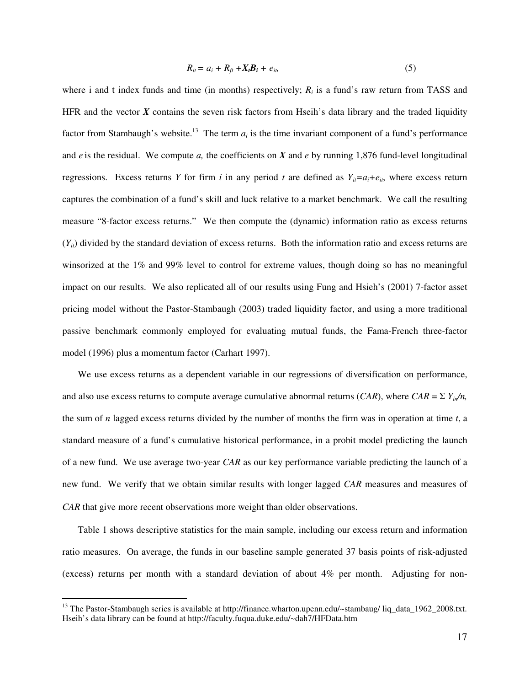$$
R_{it} = a_i + R_{ft} + X_t B_t + e_{it}, \qquad (5)
$$

where i and t index funds and time (in months) respectively;  $R_i$  is a fund's raw return from TASS and HFR and the vector  $\vec{X}$  contains the seven risk factors from Hseih's data library and the traded liquidity factor from Stambaugh's website.<sup>13</sup> The term  $a_i$  is the time invariant component of a fund's performance and  $e$  is the residual. We compute  $a$ , the coefficients on  $X$  and  $e$  by running 1,876 fund-level longitudinal regressions. Excess returns *Y* for firm *i* in any period *t* are defined as  $Y_i = a_i + e_i$ , where excess return captures the combination of a fund's skill and luck relative to a market benchmark. We call the resulting measure "8-factor excess returns." We then compute the (dynamic) information ratio as excess returns  $(Y_{it})$  divided by the standard deviation of excess returns. Both the information ratio and excess returns are winsorized at the 1% and 99% level to control for extreme values, though doing so has no meaningful impact on our results. We also replicated all of our results using Fung and Hsieh's (2001) 7-factor asset pricing model without the Pastor-Stambaugh (2003) traded liquidity factor, and using a more traditional passive benchmark commonly employed for evaluating mutual funds, the Fama-French three-factor model (1996) plus a momentum factor (Carhart 1997).

We use excess returns as a dependent variable in our regressions of diversification on performance, and also use excess returns to compute average cumulative abnormal returns (*CAR*), where *CAR* =  $\sum Y_{in}/n$ , the sum of *n* lagged excess returns divided by the number of months the firm was in operation at time *t*, a standard measure of a fund's cumulative historical performance, in a probit model predicting the launch of a new fund. We use average two-year *CAR* as our key performance variable predicting the launch of a new fund. We verify that we obtain similar results with longer lagged *CAR* measures and measures of *CAR* that give more recent observations more weight than older observations.

Table 1 shows descriptive statistics for the main sample, including our excess return and information ratio measures. On average, the funds in our baseline sample generated 37 basis points of risk-adjusted (excess) returns per month with a standard deviation of about 4% per month. Adjusting for non-

<sup>&</sup>lt;sup>13</sup> The Pastor-Stambaugh series is available at http://finance.wharton.upenn.edu/~stambaug/ liq\_data\_1962\_2008.txt. Hseih's data library can be found at http://faculty.fuqua.duke.edu/~dah7/HFData.htm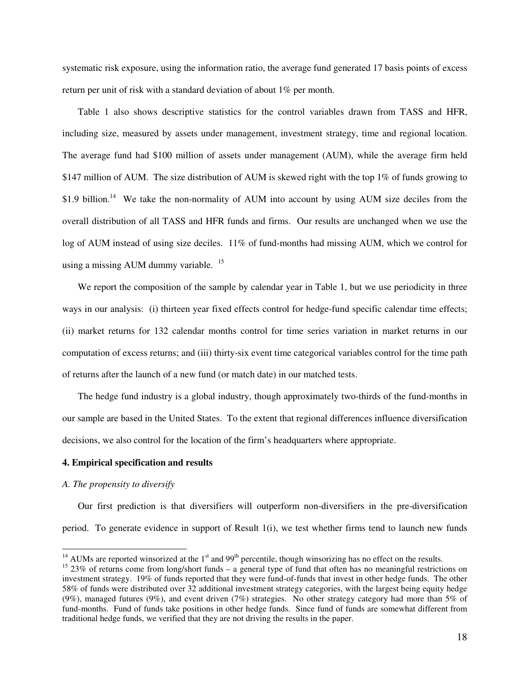systematic risk exposure, using the information ratio, the average fund generated 17 basis points of excess return per unit of risk with a standard deviation of about 1% per month.

Table 1 also shows descriptive statistics for the control variables drawn from TASS and HFR, including size, measured by assets under management, investment strategy, time and regional location. The average fund had \$100 million of assets under management (AUM), while the average firm held \$147 million of AUM. The size distribution of AUM is skewed right with the top 1% of funds growing to \$1.9 billion.<sup>14</sup> We take the non-normality of AUM into account by using AUM size deciles from the overall distribution of all TASS and HFR funds and firms. Our results are unchanged when we use the log of AUM instead of using size deciles. 11% of fund-months had missing AUM, which we control for using a missing AUM dummy variable. <sup>15</sup>

We report the composition of the sample by calendar year in Table 1, but we use periodicity in three ways in our analysis: (i) thirteen year fixed effects control for hedge-fund specific calendar time effects; (ii) market returns for 132 calendar months control for time series variation in market returns in our computation of excess returns; and (iii) thirty-six event time categorical variables control for the time path of returns after the launch of a new fund (or match date) in our matched tests.

The hedge fund industry is a global industry, though approximately two-thirds of the fund-months in our sample are based in the United States. To the extent that regional differences influence diversification decisions, we also control for the location of the firm's headquarters where appropriate.

## **4. Empirical specification and results**

#### *A. The propensity to diversify*

 $\overline{a}$ 

Our first prediction is that diversifiers will outperform non-diversifiers in the pre-diversification period. To generate evidence in support of Result 1(i), we test whether firms tend to launch new funds

 $14$  AUMs are reported winsorized at the  $1<sup>st</sup>$  and 99<sup>th</sup> percentile, though winsorizing has no effect on the results.

<sup>&</sup>lt;sup>15</sup> 23% of returns come from long/short funds – a general type of fund that often has no meaningful restrictions on investment strategy. 19% of funds reported that they were fund-of-funds that invest in other hedge funds. The other 58% of funds were distributed over 32 additional investment strategy categories, with the largest being equity hedge (9%), managed futures (9%), and event driven (7%) strategies. No other strategy category had more than 5% of fund-months. Fund of funds take positions in other hedge funds. Since fund of funds are somewhat different from traditional hedge funds, we verified that they are not driving the results in the paper.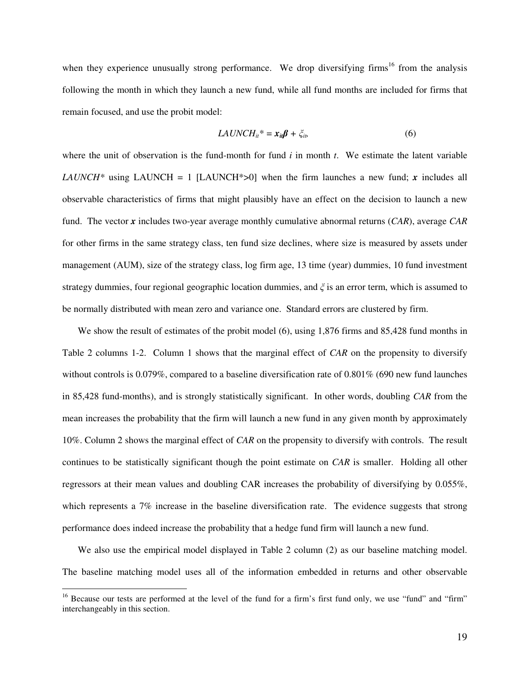when they experience unusually strong performance. We drop diversifying firms<sup>16</sup> from the analysis following the month in which they launch a new fund, while all fund months are included for firms that remain focused, and use the probit model:

$$
LAUNCH_{it}^* = x_{it} \beta + \xi_{it}
$$
 (6)

where the unit of observation is the fund-month for fund *i* in month *t*. We estimate the latent variable *LAUNCH*<sup>\*</sup> using LAUNCH = 1 [LAUNCH<sup>\*</sup>>0] when the firm launches a new fund; *x* includes all observable characteristics of firms that might plausibly have an effect on the decision to launch a new fund. The vector *x* includes two-year average monthly cumulative abnormal returns (*CAR*), average *CAR* for other firms in the same strategy class, ten fund size declines, where size is measured by assets under management (AUM), size of the strategy class, log firm age, 13 time (year) dummies, 10 fund investment strategy dummies, four regional geographic location dummies, and  $\xi$  is an error term, which is assumed to be normally distributed with mean zero and variance one. Standard errors are clustered by firm.

We show the result of estimates of the probit model (6), using 1,876 firms and 85,428 fund months in Table 2 columns 1-2. Column 1 shows that the marginal effect of *CAR* on the propensity to diversify without controls is 0.079%, compared to a baseline diversification rate of 0.801% (690 new fund launches in 85,428 fund-months), and is strongly statistically significant. In other words, doubling *CAR* from the mean increases the probability that the firm will launch a new fund in any given month by approximately 10%. Column 2 shows the marginal effect of *CAR* on the propensity to diversify with controls. The result continues to be statistically significant though the point estimate on *CAR* is smaller. Holding all other regressors at their mean values and doubling CAR increases the probability of diversifying by 0.055%, which represents a 7% increase in the baseline diversification rate. The evidence suggests that strong performance does indeed increase the probability that a hedge fund firm will launch a new fund.

We also use the empirical model displayed in Table 2 column (2) as our baseline matching model. The baseline matching model uses all of the information embedded in returns and other observable

<sup>&</sup>lt;sup>16</sup> Because our tests are performed at the level of the fund for a firm's first fund only, we use "fund" and "firm" interchangeably in this section.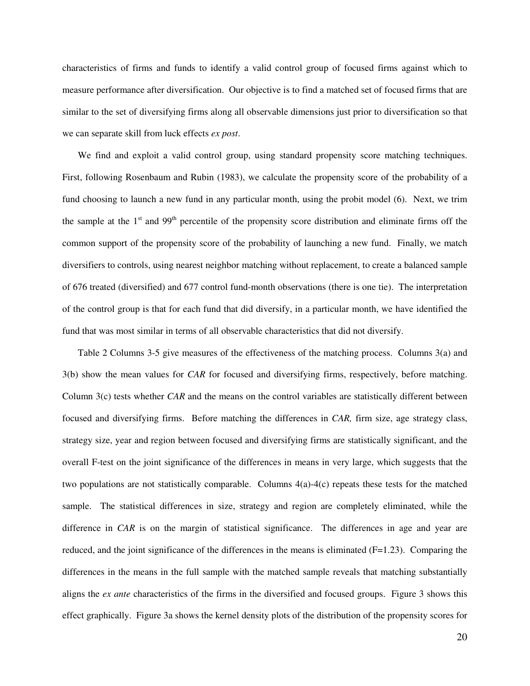characteristics of firms and funds to identify a valid control group of focused firms against which to measure performance after diversification. Our objective is to find a matched set of focused firms that are similar to the set of diversifying firms along all observable dimensions just prior to diversification so that we can separate skill from luck effects *ex post*.

We find and exploit a valid control group, using standard propensity score matching techniques. First, following Rosenbaum and Rubin (1983), we calculate the propensity score of the probability of a fund choosing to launch a new fund in any particular month, using the probit model (6). Next, we trim the sample at the  $1<sup>st</sup>$  and  $99<sup>th</sup>$  percentile of the propensity score distribution and eliminate firms off the common support of the propensity score of the probability of launching a new fund. Finally, we match diversifiers to controls, using nearest neighbor matching without replacement, to create a balanced sample of 676 treated (diversified) and 677 control fund-month observations (there is one tie). The interpretation of the control group is that for each fund that did diversify, in a particular month, we have identified the fund that was most similar in terms of all observable characteristics that did not diversify.

Table 2 Columns 3-5 give measures of the effectiveness of the matching process. Columns 3(a) and 3(b) show the mean values for *CAR* for focused and diversifying firms, respectively, before matching. Column 3(c) tests whether *CAR* and the means on the control variables are statistically different between focused and diversifying firms. Before matching the differences in *CAR,* firm size, age strategy class, strategy size, year and region between focused and diversifying firms are statistically significant, and the overall F-test on the joint significance of the differences in means in very large, which suggests that the two populations are not statistically comparable. Columns  $4(a)-4(c)$  repeats these tests for the matched sample. The statistical differences in size, strategy and region are completely eliminated, while the difference in *CAR* is on the margin of statistical significance. The differences in age and year are reduced, and the joint significance of the differences in the means is eliminated  $(F=1.23)$ . Comparing the differences in the means in the full sample with the matched sample reveals that matching substantially aligns the *ex ante* characteristics of the firms in the diversified and focused groups. Figure 3 shows this effect graphically. Figure 3a shows the kernel density plots of the distribution of the propensity scores for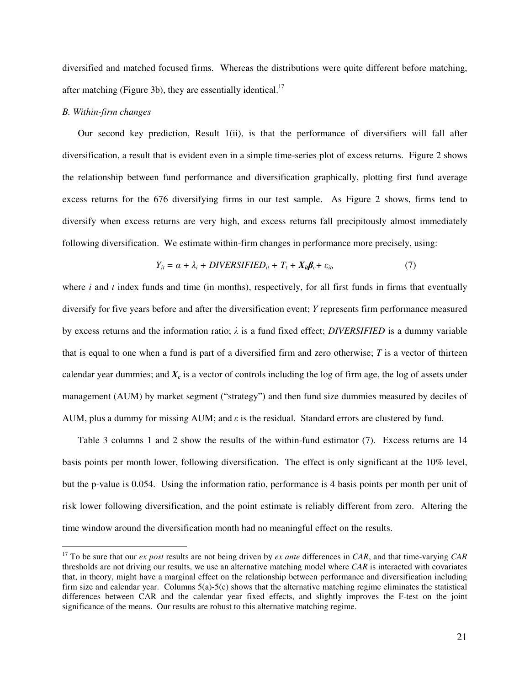diversified and matched focused firms. Whereas the distributions were quite different before matching, after matching (Figure 3b), they are essentially identical.<sup>17</sup>

## *B. Within-firm changes*

 $\overline{a}$ 

Our second key prediction, Result 1(ii), is that the performance of diversifiers will fall after diversification, a result that is evident even in a simple time-series plot of excess returns. Figure 2 shows the relationship between fund performance and diversification graphically, plotting first fund average excess returns for the 676 diversifying firms in our test sample. As Figure 2 shows, firms tend to diversify when excess returns are very high, and excess returns fall precipitously almost immediately following diversification. We estimate within-firm changes in performance more precisely, using:

$$
Y_{it} = \alpha + \lambda_i + DIVERSIFIED_{it} + T_t + X_{it} \beta_c + \varepsilon_{it}, \tag{7}
$$

where *i* and *t* index funds and time (in months), respectively, for all first funds in firms that eventually diversify for five years before and after the diversification event; *Y* represents firm performance measured by excess returns and the information ratio;  $\lambda$  is a fund fixed effect; *DIVERSIFIED* is a dummy variable that is equal to one when a fund is part of a diversified firm and zero otherwise; *T* is a vector of thirteen calendar year dummies; and  $X_c$  is a vector of controls including the log of firm age, the log of assets under management (AUM) by market segment ("strategy") and then fund size dummies measured by deciles of AUM, plus a dummy for missing AUM; and  $\varepsilon$  is the residual. Standard errors are clustered by fund.

Table 3 columns 1 and 2 show the results of the within-fund estimator (7). Excess returns are 14 basis points per month lower, following diversification. The effect is only significant at the 10% level, but the p-value is 0.054. Using the information ratio, performance is 4 basis points per month per unit of risk lower following diversification, and the point estimate is reliably different from zero. Altering the time window around the diversification month had no meaningful effect on the results.

<sup>17</sup> To be sure that our *ex post* results are not being driven by *ex ante* differences in *CAR*, and that time-varying *CAR* thresholds are not driving our results, we use an alternative matching model where *CAR* is interacted with covariates that, in theory, might have a marginal effect on the relationship between performance and diversification including firm size and calendar year. Columns  $5(a)-5(c)$  shows that the alternative matching regime eliminates the statistical differences between CAR and the calendar year fixed effects, and slightly improves the F-test on the joint significance of the means. Our results are robust to this alternative matching regime.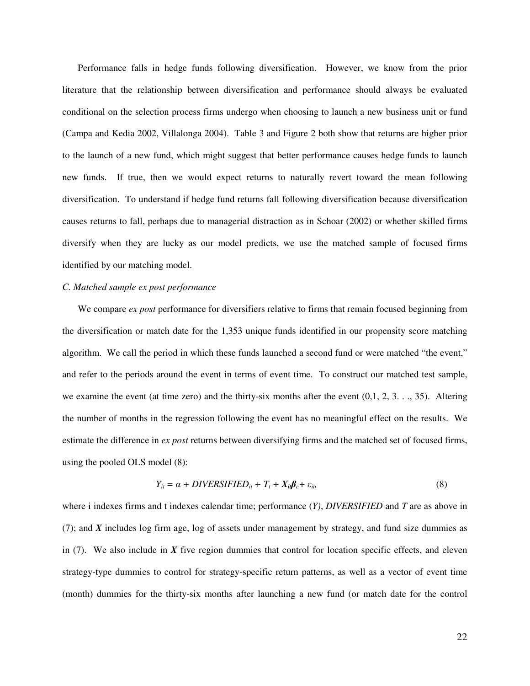Performance falls in hedge funds following diversification. However, we know from the prior literature that the relationship between diversification and performance should always be evaluated conditional on the selection process firms undergo when choosing to launch a new business unit or fund (Campa and Kedia 2002, Villalonga 2004). Table 3 and Figure 2 both show that returns are higher prior to the launch of a new fund, which might suggest that better performance causes hedge funds to launch new funds. If true, then we would expect returns to naturally revert toward the mean following diversification. To understand if hedge fund returns fall following diversification because diversification causes returns to fall, perhaps due to managerial distraction as in Schoar (2002) or whether skilled firms diversify when they are lucky as our model predicts, we use the matched sample of focused firms identified by our matching model.

## *C. Matched sample ex post performance*

We compare *ex post* performance for diversifiers relative to firms that remain focused beginning from the diversification or match date for the 1,353 unique funds identified in our propensity score matching algorithm. We call the period in which these funds launched a second fund or were matched "the event," and refer to the periods around the event in terms of event time. To construct our matched test sample, we examine the event (at time zero) and the thirty-six months after the event  $(0,1, 2, 3, \ldots, 35)$ . Altering the number of months in the regression following the event has no meaningful effect on the results. We estimate the difference in *ex post* returns between diversifying firms and the matched set of focused firms, using the pooled OLS model (8):

$$
Y_{it} = \alpha + DIVERSIFIED_{it} + T_t + X_{it} \beta_c + \varepsilon_{it}
$$
\n
$$
(8)
$$

where i indexes firms and t indexes calendar time; performance (*Y)*, *DIVERSIFIED* and *T* are as above in (7); and *X* includes log firm age, log of assets under management by strategy, and fund size dummies as in  $(7)$ . We also include in *X* five region dummies that control for location specific effects, and eleven strategy-type dummies to control for strategy-specific return patterns, as well as a vector of event time (month) dummies for the thirty-six months after launching a new fund (or match date for the control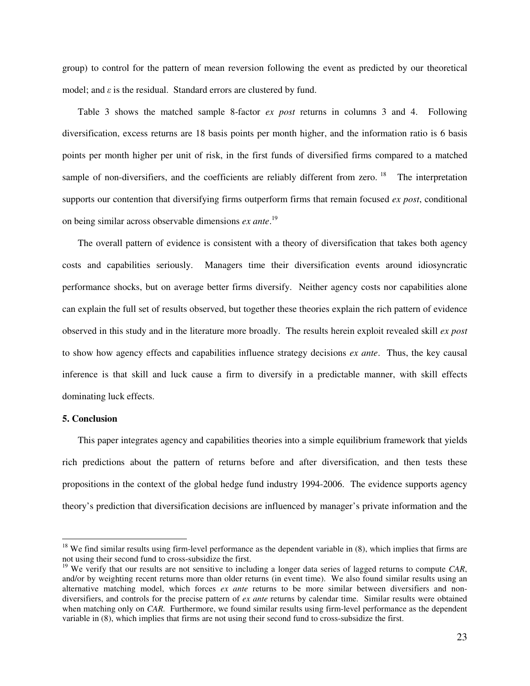group) to control for the pattern of mean reversion following the event as predicted by our theoretical model; and  $\varepsilon$  is the residual. Standard errors are clustered by fund.

Table 3 shows the matched sample 8-factor *ex post* returns in columns 3 and 4. Following diversification, excess returns are 18 basis points per month higher, and the information ratio is 6 basis points per month higher per unit of risk, in the first funds of diversified firms compared to a matched sample of non-diversifiers, and the coefficients are reliably different from zero.<sup>18</sup> The interpretation supports our contention that diversifying firms outperform firms that remain focused *ex post*, conditional on being similar across observable dimensions *ex ante*. 19

The overall pattern of evidence is consistent with a theory of diversification that takes both agency costs and capabilities seriously. Managers time their diversification events around idiosyncratic performance shocks, but on average better firms diversify. Neither agency costs nor capabilities alone can explain the full set of results observed, but together these theories explain the rich pattern of evidence observed in this study and in the literature more broadly. The results herein exploit revealed skill *ex post* to show how agency effects and capabilities influence strategy decisions *ex ante*. Thus, the key causal inference is that skill and luck cause a firm to diversify in a predictable manner, with skill effects dominating luck effects.

## **5. Conclusion**

 $\overline{a}$ 

This paper integrates agency and capabilities theories into a simple equilibrium framework that yields rich predictions about the pattern of returns before and after diversification, and then tests these propositions in the context of the global hedge fund industry 1994-2006. The evidence supports agency theory's prediction that diversification decisions are influenced by manager's private information and the

 $18$  We find similar results using firm-level performance as the dependent variable in  $(8)$ , which implies that firms are not using their second fund to cross-subsidize the first.

<sup>&</sup>lt;sup>19</sup> We verify that our results are not sensitive to including a longer data series of lagged returns to compute *CAR*, and/or by weighting recent returns more than older returns (in event time). We also found similar results using an alternative matching model, which forces *ex ante* returns to be more similar between diversifiers and nondiversifiers, and controls for the precise pattern of *ex ante* returns by calendar time. Similar results were obtained when matching only on *CAR*. Furthermore, we found similar results using firm-level performance as the dependent variable in (8), which implies that firms are not using their second fund to cross-subsidize the first.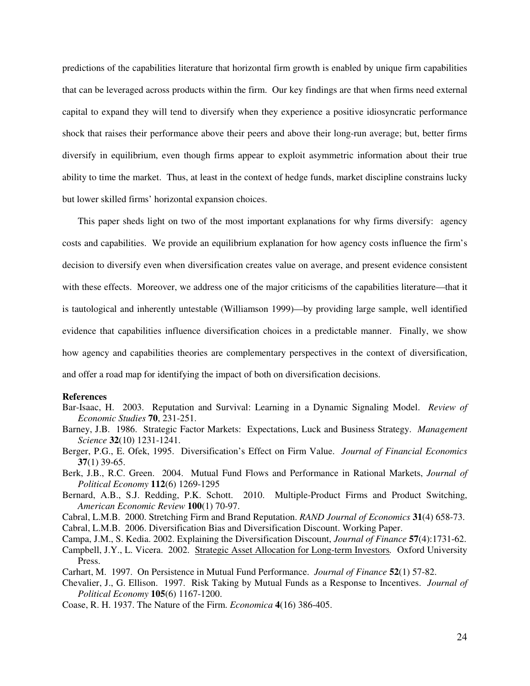predictions of the capabilities literature that horizontal firm growth is enabled by unique firm capabilities that can be leveraged across products within the firm. Our key findings are that when firms need external capital to expand they will tend to diversify when they experience a positive idiosyncratic performance shock that raises their performance above their peers and above their long-run average; but, better firms diversify in equilibrium, even though firms appear to exploit asymmetric information about their true ability to time the market. Thus, at least in the context of hedge funds, market discipline constrains lucky but lower skilled firms' horizontal expansion choices.

This paper sheds light on two of the most important explanations for why firms diversify: agency costs and capabilities. We provide an equilibrium explanation for how agency costs influence the firm's decision to diversify even when diversification creates value on average, and present evidence consistent with these effects. Moreover, we address one of the major criticisms of the capabilities literature—that it is tautological and inherently untestable (Williamson 1999)—by providing large sample, well identified evidence that capabilities influence diversification choices in a predictable manner. Finally, we show how agency and capabilities theories are complementary perspectives in the context of diversification, and offer a road map for identifying the impact of both on diversification decisions.

#### **References**

- Bar-Isaac, H. 2003. Reputation and Survival: Learning in a Dynamic Signaling Model. *Review of Economic Studies* **70**, 231-251.
- Barney, J.B. 1986. Strategic Factor Markets: Expectations, Luck and Business Strategy. *Management Science* **32**(10) 1231-1241.
- Berger, P.G., E. Ofek, 1995. Diversification's Effect on Firm Value. *Journal of Financial Economics* **37**(1) 39-65.
- Berk, J.B., R.C. Green. 2004. Mutual Fund Flows and Performance in Rational Markets, *Journal of Political Economy* **112**(6) 1269-1295
- Bernard, A.B., S.J. Redding, P.K. Schott. 2010. Multiple-Product Firms and Product Switching, *American Economic Review* **100**(1) 70-97.
- Cabral, L.M.B. 2000. Stretching Firm and Brand Reputation. *RAND Journal of Economics* **31**(4) 658-73.
- Cabral, L.M.B. 2006. Diversification Bias and Diversification Discount. Working Paper.
- Campa, J.M., S. Kedia. 2002. Explaining the Diversification Discount, *Journal of Finance* **57**(4):1731-62.
- Campbell, J.Y., L. Vicera. 2002. Strategic Asset Allocation for Long-term Investors*.* Oxford University Press.
- Carhart, M. 1997. On Persistence in Mutual Fund Performance. *Journal of Finance* **52**(1) 57-82.
- Chevalier, J., G. Ellison. 1997. Risk Taking by Mutual Funds as a Response to Incentives. *Journal of Political Economy* **105**(6) 1167-1200.
- Coase, R. H. 1937. The Nature of the Firm. *Economica* **4**(16) 386-405.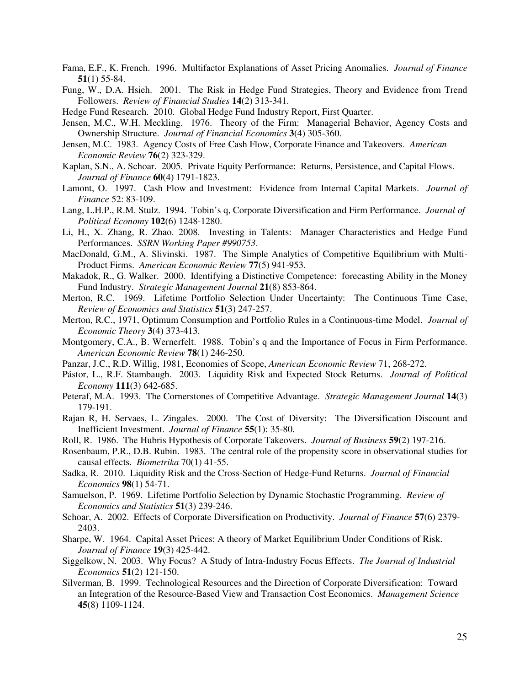- Fama, E.F., K. French. 1996. Multifactor Explanations of Asset Pricing Anomalies. *Journal of Finance* **51**(1) 55-84.
- Fung, W., D.A. Hsieh. 2001. The Risk in Hedge Fund Strategies, Theory and Evidence from Trend Followers. *Review of Financial Studies* **14**(2) 313-341.

Hedge Fund Research. 2010. Global Hedge Fund Industry Report, First Quarter.

- Jensen, M.C., W.H. Meckling. 1976. Theory of the Firm: Managerial Behavior, Agency Costs and Ownership Structure. *Journal of Financial Economics* **3**(4) 305-360.
- Jensen, M.C. 1983. Agency Costs of Free Cash Flow, Corporate Finance and Takeovers. *American Economic Review* **76**(2) 323-329.
- Kaplan, S.N., A. Schoar. 2005. Private Equity Performance: Returns, Persistence, and Capital Flows. *Journal of Finance* **60**(4) 1791-1823.
- Lamont, O. 1997. Cash Flow and Investment: Evidence from Internal Capital Markets. *Journal of Finance* 52: 83-109.
- Lang, L.H.P., R.M. Stulz. 1994. Tobin's q, Corporate Diversification and Firm Performance. *Journal of Political Economy* **102**(6) 1248-1280.
- Li, H., X. Zhang, R. Zhao. 2008. Investing in Talents: Manager Characteristics and Hedge Fund Performances. *SSRN Working Paper #990753*.
- MacDonald, G.M., A. Slivinski. 1987. The Simple Analytics of Competitive Equilibrium with Multi-Product Firms. *American Economic Review* **77**(5) 941-953.
- Makadok, R., G. Walker. 2000. Identifying a Distinctive Competence: forecasting Ability in the Money Fund Industry. *Strategic Management Journal* **21**(8) 853-864.
- Merton, R.C. 1969. Lifetime Portfolio Selection Under Uncertainty: The Continuous Time Case, *Review of Economics and Statistics* **51**(3) 247-257.
- Merton, R.C., 1971, Optimum Consumption and Portfolio Rules in a Continuous-time Model. *Journal of Economic Theory* **3**(4) 373-413.
- Montgomery, C.A., B. Wernerfelt. 1988. Tobin's q and the Importance of Focus in Firm Performance. *American Economic Review* **78**(1) 246-250.
- Panzar, J.C., R.D. Willig, 1981, Economies of Scope, *American Economic Review* 71, 268-272.
- Pástor, L., R.F. Stambaugh. 2003. Liquidity Risk and Expected Stock Returns. *Journal of Political Economy* **111**(3) 642-685.
- Peteraf, M.A. 1993. The Cornerstones of Competitive Advantage. *Strategic Management Journal* **14**(3) 179-191.
- Rajan R, H. Servaes, L. Zingales. 2000. The Cost of Diversity: The Diversification Discount and Inefficient Investment. *Journal of Finance* **55**(1): 35-80.
- Roll, R. 1986. The Hubris Hypothesis of Corporate Takeovers. *Journal of Business* **59**(2) 197-216.
- Rosenbaum, P.R., D.B. Rubin. 1983. The central role of the propensity score in observational studies for causal effects. *Biometrika* 70(1) 41-55.
- Sadka, R. 2010. Liquidity Risk and the Cross-Section of Hedge-Fund Returns. *Journal of Financial Economics* **98**(1) 54-71.
- Samuelson, P. 1969. Lifetime Portfolio Selection by Dynamic Stochastic Programming. *Review of Economics and Statistics* **51**(3) 239-246.
- Schoar, A. 2002. Effects of Corporate Diversification on Productivity. *Journal of Finance* **57**(6) 2379- 2403.
- Sharpe, W. 1964. Capital Asset Prices: A theory of Market Equilibrium Under Conditions of Risk. *Journal of Finance* **19**(3) 425-442.
- Siggelkow, N. 2003. Why Focus? A Study of Intra-Industry Focus Effects. *The Journal of Industrial Economics* **51**(2) 121-150.
- Silverman, B. 1999. Technological Resources and the Direction of Corporate Diversification: Toward an Integration of the Resource-Based View and Transaction Cost Economics. *Management Science*  **45**(8) 1109-1124.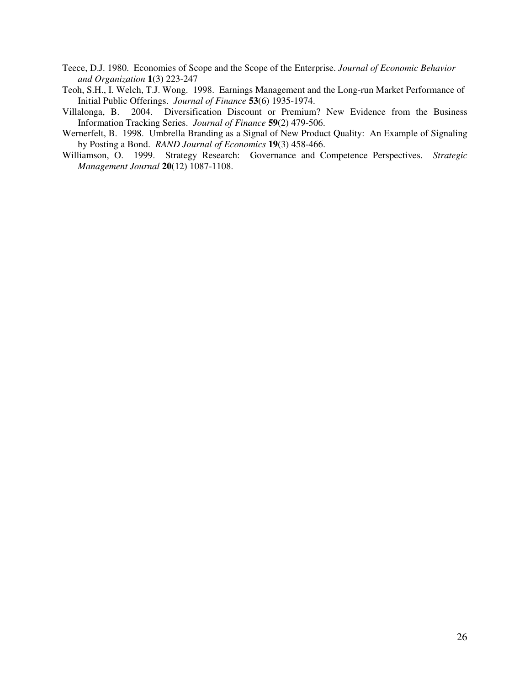- Teece, D.J. 1980. Economies of Scope and the Scope of the Enterprise. *Journal of Economic Behavior and Organization* **1**(3) 223-247
- Teoh, S.H., I. Welch, T.J. Wong. 1998. Earnings Management and the Long-run Market Performance of Initial Public Offerings. *Journal of Finance* **53**(6) 1935-1974.
- Villalonga, B. 2004. Diversification Discount or Premium? New Evidence from the Business Information Tracking Series. *Journal of Finance* **59**(2) 479-506.
- Wernerfelt, B. 1998. Umbrella Branding as a Signal of New Product Quality: An Example of Signaling by Posting a Bond. *RAND Journal of Economics* **19**(3) 458-466.
- Williamson, O. 1999. Strategy Research: Governance and Competence Perspectives. *Strategic Management Journal* **20**(12) 1087-1108.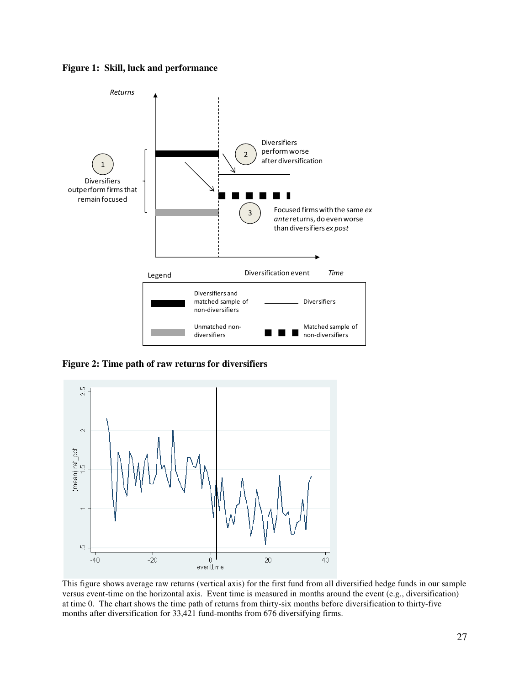



**Figure 2: Time path of raw returns for diversifiers**



This figure shows average raw returns (vertical axis) for the first fund from all diversified hedge funds in our sample versus event-time on the horizontal axis. Event time is measured in months around the event (e.g., diversification) at time 0. The chart shows the time path of returns from thirty-six months before diversification to thirty-five months after diversification for 33,421 fund-months from 676 diversifying firms.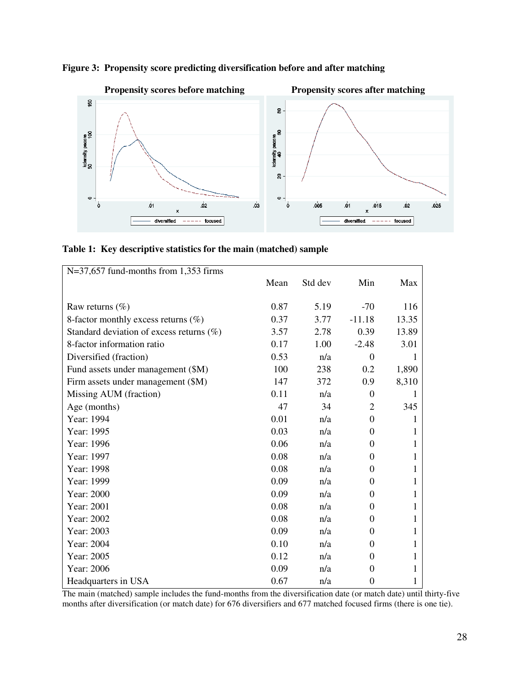

**Figure 3: Propensity score predicting diversification before and after matching** 

|  |  |  |  |  |  | Table 1: Key descriptive statistics for the main (matched) sample |  |
|--|--|--|--|--|--|-------------------------------------------------------------------|--|
|--|--|--|--|--|--|-------------------------------------------------------------------|--|

| $N=37,657$ fund-months from 1,353 firms     |      |         |                |              |
|---------------------------------------------|------|---------|----------------|--------------|
|                                             | Mean | Std dev | Min            | Max          |
|                                             |      |         |                |              |
| Raw returns $(\% )$                         | 0.87 | 5.19    | $-70$          | 116          |
| 8-factor monthly excess returns $(\% )$     | 0.37 | 3.77    | $-11.18$       | 13.35        |
| Standard deviation of excess returns $(\%)$ | 3.57 | 2.78    | 0.39           | 13.89        |
| 8-factor information ratio                  | 0.17 | 1.00    | $-2.48$        | 3.01         |
| Diversified (fraction)                      | 0.53 | n/a     | $\theta$       |              |
| Fund assets under management (\$M)          | 100  | 238     | 0.2            | 1,890        |
| Firm assets under management (\$M)          | 147  | 372     | 0.9            | 8,310        |
| Missing AUM (fraction)                      | 0.11 | n/a     | $\theta$       | 1            |
| Age (months)                                | 47   | 34      | $\overline{2}$ | 345          |
| Year: 1994                                  | 0.01 | n/a     | $\theta$       | 1            |
| Year: 1995                                  | 0.03 | n/a     | $\theta$       | 1            |
| Year: 1996                                  | 0.06 | n/a     | $\Omega$       | 1            |
| Year: 1997                                  | 0.08 | n/a     | $\theta$       | $\mathbf{1}$ |
| Year: 1998                                  | 0.08 | n/a     | $\Omega$       | 1            |
| Year: 1999                                  | 0.09 | n/a     | $\Omega$       | 1            |
| Year: 2000                                  | 0.09 | n/a     | $\theta$       | $\mathbf{1}$ |
| Year: 2001                                  | 0.08 | n/a     | $\theta$       | 1            |
| Year: 2002                                  | 0.08 | n/a     | $\Omega$       | 1            |
| Year: 2003                                  | 0.09 | n/a     | $\Omega$       | 1            |
| Year: 2004                                  | 0.10 | n/a     | $\Omega$       | 1            |
| Year: 2005                                  | 0.12 | n/a     | $\Omega$       | 1            |
| Year: 2006                                  | 0.09 | n/a     | $\Omega$       | 1            |
| Headquarters in USA                         | 0.67 | n/a     | $\overline{0}$ | 1            |

The main (matched) sample includes the fund-months from the diversification date (or match date) until thirty-five months after diversification (or match date) for 676 diversifiers and 677 matched focused firms (there is one tie).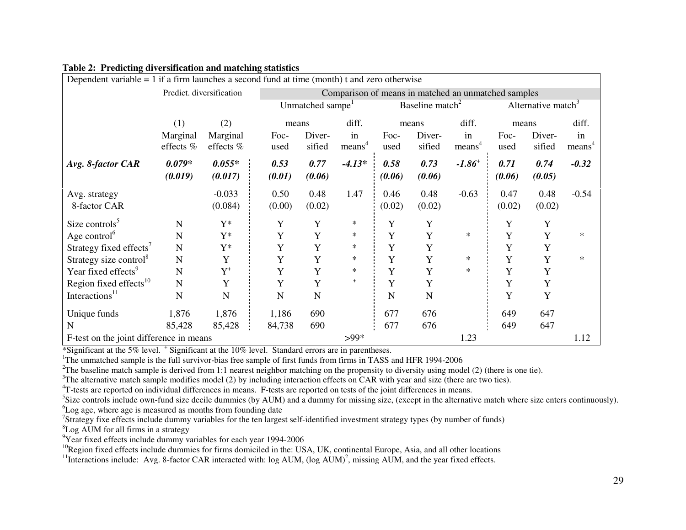| Dependent variable $= 1$ if a firm launches a second fund at time (month) t and zero otherwise |                     |                     |                                                             |                                                     |                                |                |                |                      |                |                |                    |
|------------------------------------------------------------------------------------------------|---------------------|---------------------|-------------------------------------------------------------|-----------------------------------------------------|--------------------------------|----------------|----------------|----------------------|----------------|----------------|--------------------|
| Predict. diversification                                                                       |                     |                     |                                                             | Comparison of means in matched an unmatched samples |                                |                |                |                      |                |                |                    |
|                                                                                                |                     |                     | Baseline match <sup>2</sup><br>Unmatched sampe <sup>1</sup> |                                                     | Alternative match <sup>3</sup> |                |                |                      |                |                |                    |
|                                                                                                | (1)                 | (2)                 | means                                                       |                                                     | diff.                          |                | means          | diff.                | means          |                | diff.              |
|                                                                                                | Marginal            | Marginal            | Foc-                                                        | Diver-                                              | in                             | Foc-           | Diver-         | in                   | Foc-           | Diver-         | in                 |
|                                                                                                | effects %           | effects %           | used                                                        | sified                                              | means <sup>4</sup>             | used           | sified         | means <sup>4</sup>   | used           | sified         | means <sup>4</sup> |
| Avg. 8-factor CAR                                                                              | $0.079*$<br>(0.019) | $0.055*$<br>(0.017) | 0.53<br>(0.01)                                              | 0.77<br>(0.06)                                      | $-4.13*$                       | 0.58<br>(0.06) | 0.73<br>(0.06) | $-1.86$ <sup>+</sup> | 0.71<br>(0.06) | 0.74<br>(0.05) | $-0.32$            |
| Avg. strategy<br>8-factor CAR                                                                  |                     | $-0.033$<br>(0.084) | 0.50<br>(0.00)                                              | 0.48<br>(0.02)                                      | 1.47                           | 0.46<br>(0.02) | 0.48<br>(0.02) | $-0.63$              | 0.47<br>(0.02) | 0.48<br>(0.02) | $-0.54$            |
| Size controls $5$                                                                              | $\mathbf N$         | $Y^*$               | Y                                                           | Y                                                   | $\ast$                         | Y              | Y              |                      | Y              | Y              |                    |
| Age control <sup>6</sup>                                                                       | N                   | $Y^*$               | Y                                                           | Y                                                   | $\ast$                         | Y              | Y              | $\ast$               | Y              | Y              | ∗                  |
| Strategy fixed effects <sup>7</sup>                                                            | $\mathbf N$         | $Y^*$               | Y                                                           | Y                                                   | $\ast$                         | Y              | Y              |                      | Y              | Y              |                    |
| Strategy size control <sup>8</sup>                                                             | $\mathbf N$         | Y                   | Y                                                           | Y                                                   | $\ast$                         | Y              | Y              | $\ast$               | Y              | Y              | $\ast$             |
| Year fixed effects <sup>9</sup>                                                                | $\mathbf N$         | $Y^+$               | Y                                                           | Y                                                   | $\ast$                         | Y              | Y              | $\ast$               | Y              | Y              |                    |
| Region fixed effects <sup>10</sup>                                                             | $\mathbf N$         | Y                   | Y                                                           | Y                                                   | $\ddot{}$                      | Y              | Y              |                      | Y              | Y              |                    |
| Interactions <sup>11</sup>                                                                     | $\mathbf N$         | N                   | ${\bf N}$                                                   | $\mathbf N$                                         |                                | N              | $\mathbf N$    |                      | Y              | Y              |                    |
| Unique funds                                                                                   | 1,876               | 1,876               | 1,186                                                       | 690                                                 |                                | 677            | 676            |                      | 649            | 647            |                    |
| N                                                                                              | 85,428              | 85,428              | 84,738                                                      | 690                                                 |                                | 677            | 676            |                      | 649            | 647            |                    |
| F-test on the joint difference in means                                                        |                     |                     |                                                             | $>99*$                                              |                                |                | 1.23           |                      |                | 1.12           |                    |

# **Table 2: Predicting diversification and matching statistics**

\*Significant at the 5% level. <sup>+</sup> Significant at the 10% level. Standard errors are in parentheses.

<sup>1</sup>The unmatched sample is the full survivor-bias free sample of first funds from firms in TASS and HFR 1994-2006

<sup>2</sup>The baseline match sample is derived from 1:1 nearest neighbor matching on the propensity to diversity using model (2) (there is one tie).

 $3$ The alternative match sample modifies model (2) by including interaction effects on CAR with year and size (there are two ties).

<sup>4</sup>T-tests are reported on individual differences in means. F-tests are reported on tests of the joint differences in means.

 ${}^{5}$ Size controls include own-fund size decile dummies (by AUM) and a dummy for missing size, (except in the alternative match where size enters continuously).

<sup>6</sup>Log age, where age is measured as months from founding date

 $7$ Strategy fixe effects include dummy variables for the ten largest self-identified investment strategy types (by number of funds)

<sup>8</sup>Log AUM for all firms in a strategy

 $9$ Year fixed effects include dummy variables for each year 1994-2006

<sup>10</sup>Region fixed effects include dummies for firms domiciled in the: USA, UK, continental Europe, Asia, and all other locations

<sup>11</sup>Interactions include: Avg. 8-factor CAR interacted with:  $log AUM$ ,  $(log AUM)^2$ , missing AUM, and the year fixed effects.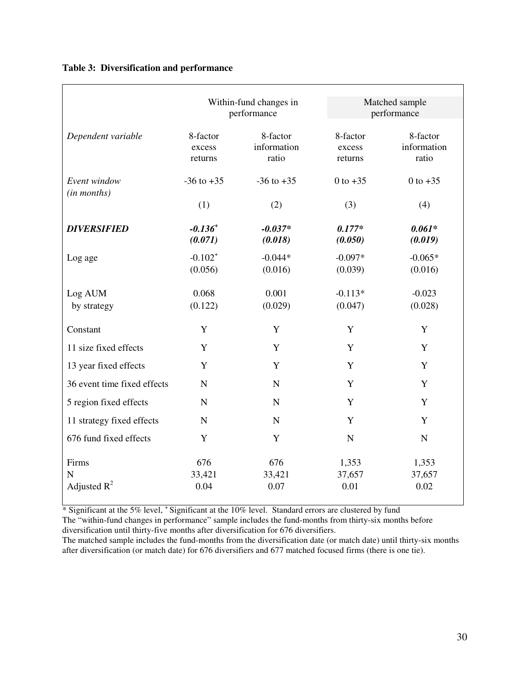|  |  | Table 3: Diversification and performance |
|--|--|------------------------------------------|
|--|--|------------------------------------------|

|                                           |                               | Within-fund changes in<br>performance |                               | Matched sample<br>performance    |  |  |  |
|-------------------------------------------|-------------------------------|---------------------------------------|-------------------------------|----------------------------------|--|--|--|
| Dependent variable                        | 8-factor<br>excess<br>returns | 8-factor<br>information<br>ratio      | 8-factor<br>excess<br>returns | 8-factor<br>information<br>ratio |  |  |  |
| Event window<br>(in months)               | $-36$ to $+35$                | $-36$ to $+35$                        | 0 to $+35$                    | 0 to $+35$                       |  |  |  |
|                                           | (1)                           | (2)                                   | (3)                           | (4)                              |  |  |  |
| <b>DIVERSIFIED</b>                        | $-0.136^{+}$<br>(0.071)       | $-0.037*$<br>(0.018)                  | $0.177*$<br>(0.050)           | $0.061*$<br>(0.019)              |  |  |  |
| Log age                                   | $-0.102^{+}$<br>(0.056)       | $-0.044*$<br>(0.016)                  | $-0.097*$<br>(0.039)          | $-0.065*$<br>(0.016)             |  |  |  |
| Log AUM<br>by strategy                    | 0.068<br>(0.122)              | 0.001<br>(0.029)                      | $-0.113*$<br>(0.047)          | $-0.023$<br>(0.028)              |  |  |  |
| Constant                                  | Y                             | Y                                     | Y                             | Y                                |  |  |  |
| 11 size fixed effects                     | Y                             | Y                                     | Y                             | Y                                |  |  |  |
| 13 year fixed effects                     | Y                             | Y                                     | Y                             | Y                                |  |  |  |
| 36 event time fixed effects               | $\mathbf N$                   | $\mathbf N$                           | Y                             | Y                                |  |  |  |
| 5 region fixed effects                    | $\mathbf N$                   | $\mathbf N$                           | Y                             | $\mathbf Y$                      |  |  |  |
| 11 strategy fixed effects                 | $\mathbf N$                   | $\mathbf N$                           | Y                             | Y                                |  |  |  |
| 676 fund fixed effects                    | Y                             | Y                                     | $\mathbf N$                   | $\mathbf N$                      |  |  |  |
| Firms<br>$\overline{N}$<br>Adjusted $R^2$ | 676<br>33,421<br>0.04         | 676<br>33,421<br>0.07                 | 1,353<br>37,657<br>0.01       | 1,353<br>37,657<br>0.02          |  |  |  |

\* Significant at the 5% level, <sup>+</sup> Significant at the 10% level. Standard errors are clustered by fund

The "within-fund changes in performance" sample includes the fund-months from thirty-six months before diversification until thirty-five months after diversification for 676 diversifiers.

The matched sample includes the fund-months from the diversification date (or match date) until thirty-six months after diversification (or match date) for 676 diversifiers and 677 matched focused firms (there is one tie).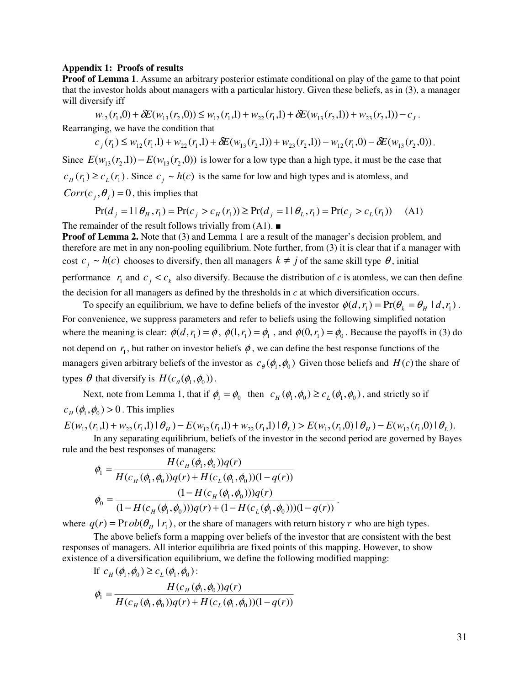#### **Appendix 1: Proofs of results**

**Proof of Lemma 1.** Assume an arbitrary posterior estimate conditional on play of the game to that point that the investor holds about managers with a particular history. Given these beliefs, as in (3), a manager will diversify iff

 $w_{12}(r_1,0) + \delta E(w_{13}(r_2,0)) \leq w_{12}(r_1,1) + w_{22}(r_1,1) + \delta E(w_{13}(r_2,1)) + w_{23}(r_2,1) - c_J$ .

Rearranging, we have the condition that

$$
c_j(r_1) \le w_{12}(r_1,1) + w_{22}(r_1,1) + \delta E(w_{13}(r_2,1)) + w_{23}(r_2,1)) - w_{12}(r_1,0) - \delta E(w_{13}(r_2,0)).
$$

Since  $E(w_{13}(r_2,1)) - E(w_{13}(r_2,0))$  is lower for a low type than a high type, it must be the case that  $c_H(r_1) \ge c_L(r_1)$ . Since  $c_j \sim h(c)$  is the same for low and high types and is atomless, and  $Corr(c_i, \theta_i) = 0$ , this implies that

$$
Pr(d_j = 1 | \theta_H, r_1) = Pr(c_j > c_H(r_1)) \ge Pr(d_j = 1 | \theta_L, r_1) = Pr(c_j > c_L(r_1))
$$
 (A1)

The remainder of the result follows trivially from  $(A1)$ .

**Proof of Lemma 2.** Note that (3) and Lemma 1 are a result of the manager's decision problem, and therefore are met in any non-pooling equilibrium. Note further, from (3) it is clear that if a manager with cost  $c_j \sim h(c)$  chooses to diversify, then all managers  $k \neq j$  of the same skill type  $\theta$ , initial performance  $r_1$  and  $c_j < c_k$  also diversify. Because the distribution of *c* is atomless, we can then define the decision for all managers as defined by the thresholds in *c* at which diversification occurs.

To specify an equilibrium, we have to define beliefs of the investor  $\phi(d, r_1) = Pr(\theta_k = \theta_H \mid d, r_1)$ . For convenience, we suppress parameters and refer to beliefs using the following simplified notation where the meaning is clear:  $\phi(d, r_1) = \phi$ ,  $\phi(1, r_1) = \phi_1$ , and  $\phi(0, r_1) = \phi_0$ . Because the payoffs in (3) do not depend on  $r_1$ , but rather on investor beliefs  $\phi$ , we can define the best response functions of the managers given arbitrary beliefs of the investor as  $c_{\theta}(\phi_1, \phi_0)$  Given those beliefs and  $H(c)$  the share of types  $\theta$  that diversify is  $H(c_{\theta}, \phi_0))$ .

Next, note from Lemma 1, that if  $\phi_1 = \phi_0$  then  $c_H(\phi_1, \phi_0) \ge c_L(\phi_1, \phi_0)$ , and strictly so if  $c_H(\phi_1, \phi_0) > 0$ . This implies

$$
E(w_{12}(r_1,1) + w_{22}(r_1,1) | \theta_H) - E(w_{12}(r_1,1) + w_{22}(r_1,1) | \theta_L) > E(w_{12}(r_1,0) | \theta_H) - E(w_{12}(r_1,0) | \theta_L).
$$

 In any separating equilibrium, beliefs of the investor in the second period are governed by Bayes rule and the best responses of managers:

$$
\phi_1 = \frac{H(c_H(\phi_1, \phi_0))q(r)}{H(c_H(\phi_1, \phi_0))q(r) + H(c_L(\phi_1, \phi_0))(1-q(r))}
$$

$$
\phi_0 = \frac{(1 - H(c_H(\phi_1, \phi_0)))q(r)}{(1 - H(c_H(\phi_1, \phi_0)))q(r) + (1 - H(c_L(\phi_1, \phi_0)))(1-q(r))}.
$$

where  $q(r) = \text{Pr} \, ob(\theta_H | r_1)$ , or the share of managers with return history r who are high types.

The above beliefs form a mapping over beliefs of the investor that are consistent with the best responses of managers. All interior equilibria are fixed points of this mapping. However, to show existence of a diversification equilibrium, we define the following modified mapping:

If 
$$
c_H(\phi_1, \phi_0) \ge c_L(\phi_1, \phi_0)
$$
:  
\n
$$
\phi_1 = \frac{H(c_H(\phi_1, \phi_0))q(r)}{H(c_H(\phi_1, \phi_0))q(r) + H(c_L(\phi_1, \phi_0))(1 - q(r))}
$$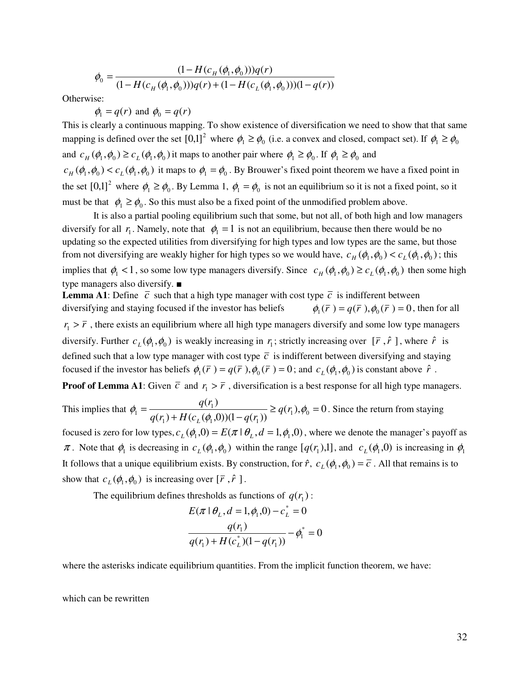$$
\phi_0 = \frac{(1 - H(c_H(\phi_1, \phi_0)))q(r)}{(1 - H(c_H(\phi_1, \phi_0)))q(r) + (1 - H(c_L(\phi_1, \phi_0))) (1 - q(r))}
$$

Otherwise:

$$
\phi_1 = q(r)
$$
 and  $\phi_0 = q(r)$ 

This is clearly a continuous mapping. To show existence of diversification we need to show that that same mapping is defined over the set  $[0,1]^2$  where  $\phi_1 \ge \phi_0$  (i.e. a convex and closed, compact set). If  $\phi_1 \ge \phi_0$ and  $c_H(\phi_1, \phi_0) \ge c_L(\phi_1, \phi_0)$  it maps to another pair where  $\phi_1 \ge \phi_0$ . If  $\phi_1 \ge \phi_0$  and  $c_H(\phi_1, \phi_0) < c_L(\phi_1, \phi_0)$  it maps to  $\phi_1 = \phi_0$ . By Brouwer's fixed point theorem we have a fixed point in the set  $[0,1]^2$  where  $\phi_1 \ge \phi_0$ . By Lemma 1,  $\phi_1 = \phi_0$  is not an equilibrium so it is not a fixed point, so it must be that  $\phi_1 \ge \phi_0$ . So this must also be a fixed point of the unmodified problem above.

It is also a partial pooling equilibrium such that some, but not all, of both high and low managers diversify for all  $r_1$ . Namely, note that  $\phi_1 = 1$  is not an equilibrium, because then there would be no updating so the expected utilities from diversifying for high types and low types are the same, but those from not diversifying are weakly higher for high types so we would have,  $c_H(\phi_1, \phi_0) < c_L(\phi_1, \phi_0)$ ; this implies that  $\phi_1 < 1$ , so some low type managers diversify. Since  $c_H(\phi_1, \phi_0) \ge c_L(\phi_1, \phi_0)$  then some high type managers also diversify. ■

**Lemma A1**: Define  $\overline{c}$  such that a high type manager with cost type  $\overline{c}$  is indifferent between diversifying and staying focused if the investor has beliefs  $(\bar{r}) = q(\bar{r}), \phi_0(\bar{r}) = 0$ , then for all  $r_1 > \bar{r}$ , there exists an equilibrium where all high type managers diversify and some low type managers diversify. Further  $c_L(\phi_1, \phi_0)$  is weakly increasing in  $r_1$ ; strictly increasing over  $[\bar{r}, \hat{r}]$ , where  $\hat{r}$  is defined such that a low type manager with cost type  $\bar{c}$  is indifferent between diversifying and staying focused if the investor has beliefs  $\phi_1(\bar{r}) = q(\bar{r})$ ,  $\phi_0(\bar{r}) = 0$ ; and  $c_L(\phi_1, \phi_0)$  is constant above  $\hat{r}$ .

**Proof of Lemma A1**: Given  $\bar{c}$  and  $r_1 > \bar{r}$ , diversification is a best response for all high type managers.

This implies that 
$$
\phi_1 = \frac{q(r_1)}{q(r_1) + H(c_L(\phi_1, 0))(1 - q(r_1))} \ge q(r_1), \phi_0 = 0
$$
. Since the return from staying

focused is zero for low types,  $c_L(\phi_1, 0) = E(\pi | \theta_L, d = 1, \phi_1, 0)$ , where we denote the manager's payoff as  $\pi$ . Note that  $\phi_1$  is decreasing in  $c_L(\phi_1, \phi_0)$  within the range  $[q(r_1),1]$ , and  $c_L(\phi_1, 0)$  is increasing in  $\phi_1$ It follows that a unique equilibrium exists. By construction, for  $\hat{r}$ ,  $c_L(\phi_1, \phi_0) = \overline{c}$ . All that remains is to show that  $c_L(\phi_1, \phi_0)$  is increasing over  $[\bar{r}, \hat{r}]$ .

The equilibrium defines thresholds as functions of  $q(r_1)$ :

$$
E(\pi | \theta_L, d = 1, \phi_1, 0) - c_L^* = 0
$$

$$
\frac{q(r_1)}{q(r_1) + H(c_L^*)(1 - q(r_1))} - \phi_1^* = 0
$$

where the asterisks indicate equilibrium quantities. From the implicit function theorem, we have:

which can be rewritten